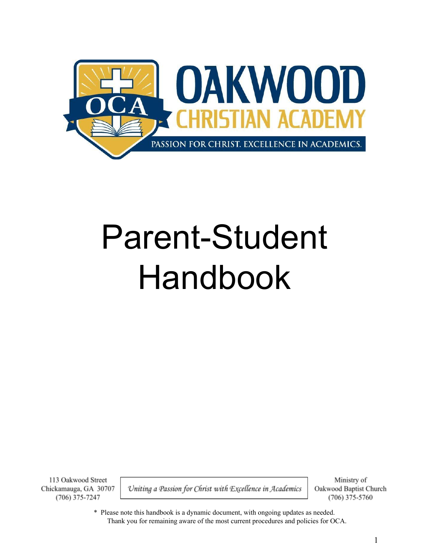

# Parent-Student Handbook

113 Oakwood Street Chickamauga, GA 30707  $(706)$  375-7247

Uniting a Passion for Christ with Excellence in Academics

Ministry of Oakwood Baptist Church (706) 375-5760

\* Please note this handbook is a dynamic document, with ongoing updates as needed. Thank you for remaining aware of the most current procedures and policies for OCA.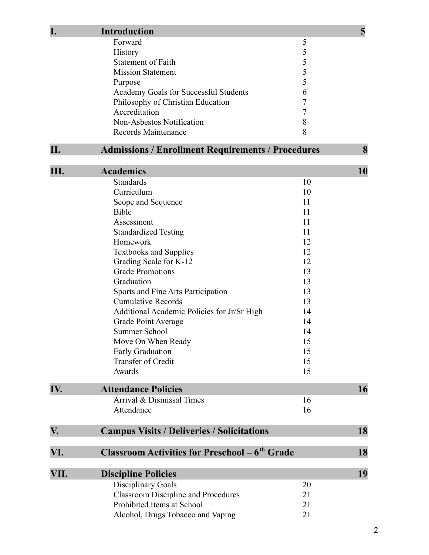| I.   | <b>Introduction</b>                                      |                | 5  |
|------|----------------------------------------------------------|----------------|----|
|      | Forward                                                  | 5              |    |
|      | <b>History</b>                                           | 5              |    |
|      | <b>Statement of Faith</b>                                | 5              |    |
|      | <b>Mission Statement</b>                                 | 5              |    |
|      | Purpose                                                  | 5              |    |
|      | Academy Goals for Successful Students                    | 6              |    |
|      | Philosophy of Christian Education                        | $\overline{7}$ |    |
|      | Accreditation                                            | 7              |    |
|      | Non-Asbestos Notification                                | $8\,$          |    |
|      | Records Maintenance                                      | 8              |    |
| II.  | <b>Admissions / Enrollment Requirements / Procedures</b> |                | 8  |
|      |                                                          |                |    |
| III. | <b>Academics</b>                                         |                | 10 |
|      | <b>Standards</b>                                         | 10             |    |
|      | Curriculum                                               | 10             |    |
|      | Scope and Sequence                                       | 11             |    |
|      | <b>Bible</b>                                             | 11             |    |
|      | Assessment                                               | 11             |    |
|      | <b>Standardized Testing</b>                              | 11             |    |
|      | Homework                                                 | 12             |    |
|      | <b>Textbooks and Supplies</b>                            | 12             |    |
|      | Grading Scale for K-12                                   | 12             |    |
|      | <b>Grade Promotions</b>                                  | 13             |    |
|      | Graduation                                               | 13             |    |
|      | Sports and Fine Arts Participation                       | 13             |    |
|      | <b>Cumulative Records</b>                                | 13             |    |
|      | Additional Academic Policies for Jr/Sr High              | 14             |    |
|      | <b>Grade Point Average</b>                               | 14             |    |
|      | Summer School                                            | 14             |    |
|      | Move On When Ready                                       | 15             |    |
|      | <b>Early Graduation</b>                                  | 15             |    |
|      | Transfer of Credit                                       | 15             |    |
|      | Awards                                                   | 15             |    |
| IV.  | <b>Attendance Policies</b>                               |                | 16 |
|      | Arrival & Dismissal Times                                | 16             |    |
|      | Attendance                                               | 16             |    |
| V.   | <b>Campus Visits / Deliveries / Solicitations</b>        |                | 18 |
|      |                                                          |                |    |
| VI.  | <b>Classroom Activities for Preschool – 6th Grade</b>    |                | 18 |
| VII. | <b>Discipline Policies</b>                               |                | 19 |
|      | <b>Disciplinary Goals</b>                                | 20             |    |
|      | <b>Classroom Discipline and Procedures</b>               | 21             |    |
|      | Prohibited Items at School                               | 21             |    |
|      | Alcohol, Drugs Tobacco and Vaping                        | 21             |    |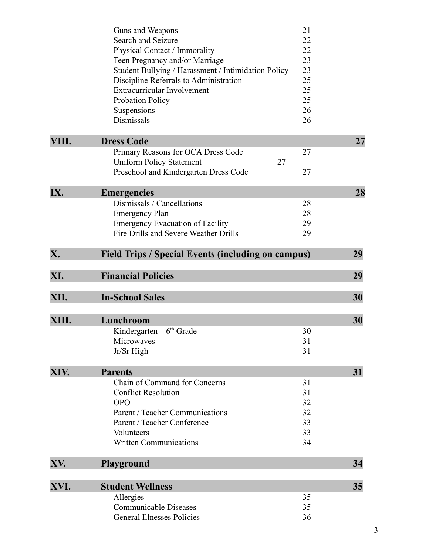| IX.   | Preschool and Kindergarten Dress Code<br><b>Emergencies</b> | 27       | 28 |
|-------|-------------------------------------------------------------|----------|----|
|       | Dismissals / Cancellations                                  | 28       |    |
|       | <b>Emergency Plan</b>                                       | 28       |    |
|       | <b>Emergency Evacuation of Facility</b>                     | 29       |    |
|       | Fire Drills and Severe Weather Drills                       | 29       |    |
| X.    | <b>Field Trips / Special Events (including on campus)</b>   |          | 29 |
| XI.   | <b>Financial Policies</b>                                   |          | 29 |
| XII.  | <b>In-School Sales</b>                                      |          | 30 |
| XIII. | Lunchroom                                                   |          | 30 |
|       | Kindergarten $-6th$ Grade                                   | 30       |    |
|       |                                                             |          |    |
|       | Microwaves                                                  | 31       |    |
|       | Jr/Sr High                                                  | 31       |    |
| XIV.  | <b>Parents</b>                                              |          | 31 |
|       | Chain of Command for Concerns                               | 31       |    |
|       | <b>Conflict Resolution</b>                                  | 31       |    |
|       | <b>OPO</b>                                                  | 32       |    |
|       | Parent / Teacher Communications                             | 32       |    |
|       | Parent / Teacher Conference                                 | 33       |    |
|       | Volunteers                                                  | 33       |    |
|       | <b>Written Communications</b>                               | 34       |    |
| XV.   | <b>Playground</b>                                           |          | 34 |
|       |                                                             |          |    |
| XVI.  | <b>Student Wellness</b>                                     |          | 35 |
|       | Allergies<br><b>Communicable Diseases</b>                   | 35<br>35 |    |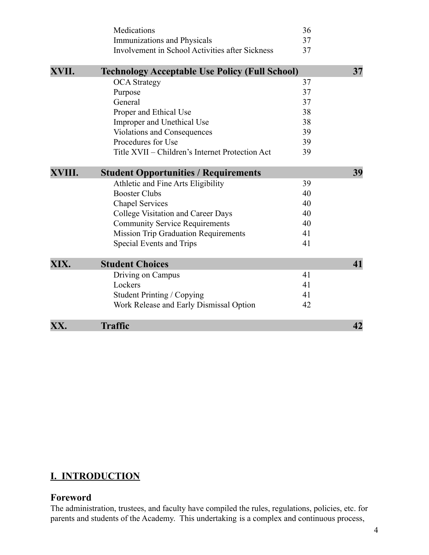|        | Medications                                           | 36 |    |
|--------|-------------------------------------------------------|----|----|
|        | Immunizations and Physicals                           | 37 |    |
|        | Involvement in School Activities after Sickness       | 37 |    |
| XVII.  | <b>Technology Acceptable Use Policy (Full School)</b> |    | 37 |
|        | <b>OCA</b> Strategy                                   | 37 |    |
|        | Purpose                                               | 37 |    |
|        | General                                               | 37 |    |
|        | Proper and Ethical Use                                | 38 |    |
|        | Improper and Unethical Use                            | 38 |    |
|        | <b>Violations and Consequences</b>                    | 39 |    |
|        | Procedures for Use                                    | 39 |    |
|        | Title XVII – Children's Internet Protection Act       | 39 |    |
| XVIII. | <b>Student Opportunities / Requirements</b>           |    | 39 |
|        | Athletic and Fine Arts Eligibility                    | 39 |    |
|        | <b>Booster Clubs</b>                                  | 40 |    |
|        | <b>Chapel Services</b>                                | 40 |    |
|        | College Visitation and Career Days                    | 40 |    |
|        | <b>Community Service Requirements</b>                 | 40 |    |
|        | <b>Mission Trip Graduation Requirements</b>           | 41 |    |
|        | Special Events and Trips                              | 41 |    |
| XIX.   | <b>Student Choices</b>                                |    | 41 |
|        | Driving on Campus                                     | 41 |    |
|        | Lockers                                               | 41 |    |
|        | <b>Student Printing / Copying</b>                     | 41 |    |
|        | Work Release and Early Dismissal Option               | 42 |    |
| XX.    | <b>Traffic</b>                                        |    | 42 |

# **I. INTRODUCTION**

#### **Foreword**

The administration, trustees, and faculty have compiled the rules, regulations, policies, etc. for parents and students of the Academy. This undertaking is a complex and continuous process,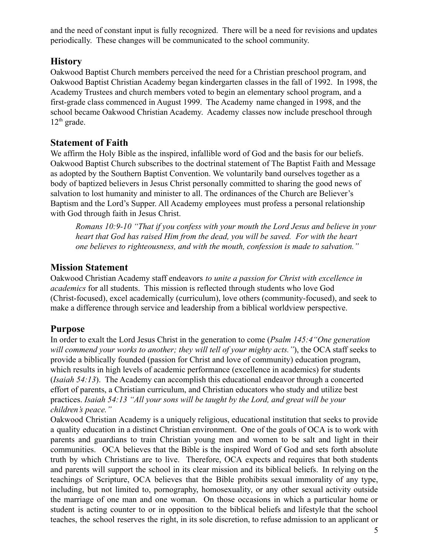and the need of constant input is fully recognized. There will be a need for revisions and updates periodically. These changes will be communicated to the school community.

## **History**

Oakwood Baptist Church members perceived the need for a Christian preschool program, and Oakwood Baptist Christian Academy began kindergarten classes in the fall of 1992. In 1998, the Academy Trustees and church members voted to begin an elementary school program, and a first-grade class commenced in August 1999. The Academy name changed in 1998, and the school became Oakwood Christian Academy. Academy classes now include preschool through  $12<sup>th</sup>$  grade.

## **Statement of Faith**

We affirm the Holy Bible as the inspired, infallible word of God and the basis for our beliefs. Oakwood Baptist Church subscribes to the doctrinal statement of The Baptist Faith and Message as adopted by the Southern Baptist Convention. We voluntarily band ourselves together as a body of baptized believers in Jesus Christ personally committed to sharing the good news of salvation to lost humanity and minister to all. The ordinances of the Church are Believer's Baptism and the Lord's Supper. All Academy employees must profess a personal relationship with God through faith in Jesus Christ.

*Romans 10:9-10 "That if you confess with your mouth the Lord Jesus and believe in your heart that God has raised Him from the dead, you will be saved. For with the heart one believes to righteousness, and with the mouth, confession is made to salvation."*

## **Mission Statement**

Oakwood Christian Academy staff endeavors *to unite a passion for Christ with excellence in academics* for all students. This mission is reflected through students who love God (Christ-focused), excel academically (curriculum), love others (community-focused), and seek to make a difference through service and leadership from a biblical worldview perspective.

# **Purpose**

In order to exalt the Lord Jesus Christ in the generation to come (*Psalm 145:4"One generation will commend your works to another; they will tell of your mighty acts."*), the OCA staff seeks to provide a biblically founded (passion for Christ and love of community) education program, which results in high levels of academic performance (excellence in academics) for students (*Isaiah 54:13*). The Academy can accomplish this educational endeavor through a concerted effort of parents, a Christian curriculum, and Christian educators who study and utilize best practices. *Isaiah 54:13 "All your sons will be taught by the Lord, and great will be your children's peace."*

Oakwood Christian Academy is a uniquely religious, educational institution that seeks to provide a quality education in a distinct Christian environment. One of the goals of OCA is to work with parents and guardians to train Christian young men and women to be salt and light in their communities. OCA believes that the Bible is the inspired Word of God and sets forth absolute truth by which Christians are to live. Therefore, OCA expects and requires that both students and parents will support the school in its clear mission and its biblical beliefs. In relying on the teachings of Scripture, OCA believes that the Bible prohibits sexual immorality of any type, including, but not limited to, pornography, homosexuality, or any other sexual activity outside the marriage of one man and one woman. On those occasions in which a particular home or student is acting counter to or in opposition to the biblical beliefs and lifestyle that the school teaches, the school reserves the right, in its sole discretion, to refuse admission to an applicant or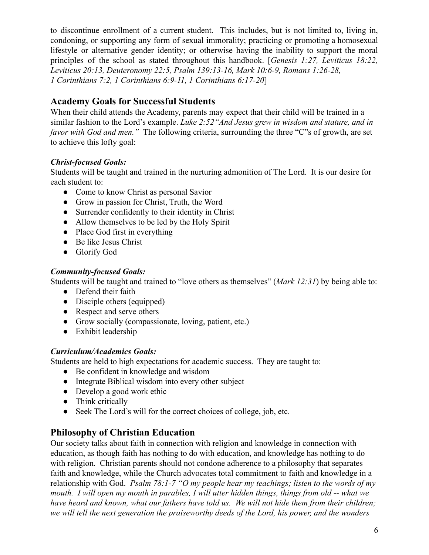to discontinue enrollment of a current student. This includes, but is not limited to, living in, condoning, or supporting any form of sexual immorality; practicing or promoting a homosexual lifestyle or alternative gender identity; or otherwise having the inability to support the moral principles of the school as stated throughout this handbook. [*Genesis 1:27, Leviticus 18:22, Leviticus 20:13, Deuteronomy 22:5, Psalm 139:13-16, Mark 10:6-9, Romans 1:26-28, 1 Corinthians 7:2, 1 Corinthians 6:9-11, 1 Corinthians 6:17-20*]

# **Academy Goals for Successful Students**

When their child attends the Academy, parents may expect that their child will be trained in a similar fashion to the Lord's example. *Luke 2:52"And Jesus grew in wisdom and stature, and in favor with God and men."* The following criteria, surrounding the three "C"s of growth, are set to achieve this lofty goal:

#### *Christ-focused Goals:*

Students will be taught and trained in the nurturing admonition of The Lord. It is our desire for each student to:

- Come to know Christ as personal Savior
- Grow in passion for Christ, Truth, the Word
- Surrender confidently to their identity in Christ
- Allow themselves to be led by the Holy Spirit
- Place God first in everything
- Be like Jesus Christ
- Glorify God

#### *Community-focused Goals:*

Students will be taught and trained to "love others as themselves" (*Mark 12:31*) by being able to:

- Defend their faith
- Disciple others (equipped)
- Respect and serve others
- Grow socially (compassionate, loving, patient, etc.)
- Exhibit leadership

#### *Curriculum/Academics Goals:*

Students are held to high expectations for academic success. They are taught to:

- Be confident in knowledge and wisdom
- Integrate Biblical wisdom into every other subject
- Develop a good work ethic
- Think critically
- Seek The Lord's will for the correct choices of college, job, etc.

## **Philosophy of Christian Education**

Our society talks about faith in connection with religion and knowledge in connection with education, as though faith has nothing to do with education, and knowledge has nothing to do with religion. Christian parents should not condone adherence to a philosophy that separates faith and knowledge, while the Church advocates total commitment to faith and knowledge in a relationship with God. *Psalm 78:1-7 "O my people hear my teachings; listen to the words of my mouth. I will open my mouth in parables, I will utter hidden things, things from old -- what we have heard and known, what our fathers have told us. We will not hide them from their children; we will tell the next generation the praiseworthy deeds of the Lord, his power, and the wonders*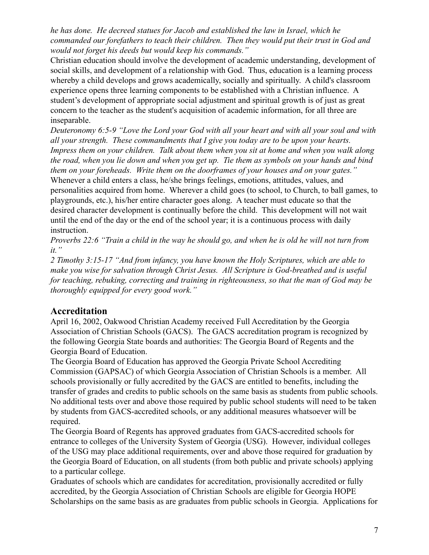*he has done. He decreed statues for Jacob and established the law in Israel, which he commanded our forefathers to teach their children. Then they would put their trust in God and would not forget his deeds but would keep his commands."*

Christian education should involve the development of academic understanding, development of social skills, and development of a relationship with God. Thus, education is a learning process whereby a child develops and grows academically, socially and spiritually. A child's classroom experience opens three learning components to be established with a Christian influence. A student's development of appropriate social adjustment and spiritual growth is of just as great concern to the teacher as the student's acquisition of academic information, for all three are inseparable.

*Deuteronomy 6:5-9 "Love the Lord your God with all your heart and with all your soul and with all your strength. These commandments that I give you today are to be upon your hearts. Impress them on your children. Talk about them when you sit at home and when you walk along the road, when you lie down and when you get up. Tie them as symbols on your hands and bind them on your foreheads. Write them on the doorframes of your houses and on your gates."* Whenever a child enters a class, he/she brings feelings, emotions, attitudes, values, and personalities acquired from home. Wherever a child goes (to school, to Church, to ball games, to playgrounds, etc.), his/her entire character goes along. A teacher must educate so that the desired character development is continually before the child. This development will not wait until the end of the day or the end of the school year; it is a continuous process with daily instruction.

*Proverbs 22:6 "Train a child in the way he should go, and when he is old he will not turn from it."*

*2 Timothy 3:15-17 "And from infancy, you have known the Holy Scriptures, which are able to make you wise for salvation through Christ Jesus. All Scripture is God-breathed and is useful for teaching, rebuking, correcting and training in righteousness, so that the man of God may be thoroughly equipped for every good work."*

## **Accreditation**

April 16, 2002, Oakwood Christian Academy received Full Accreditation by the Georgia Association of Christian Schools (GACS). The GACS accreditation program is recognized by the following Georgia State boards and authorities: The Georgia Board of Regents and the Georgia Board of Education.

The Georgia Board of Education has approved the Georgia Private School Accrediting Commission (GAPSAC) of which Georgia Association of Christian Schools is a member. All schools provisionally or fully accredited by the GACS are entitled to benefits, including the transfer of grades and credits to public schools on the same basis as students from public schools. No additional tests over and above those required by public school students will need to be taken by students from GACS-accredited schools, or any additional measures whatsoever will be required.

The Georgia Board of Regents has approved graduates from GACS-accredited schools for entrance to colleges of the University System of Georgia (USG). However, individual colleges of the USG may place additional requirements, over and above those required for graduation by the Georgia Board of Education, on all students (from both public and private schools) applying to a particular college.

Graduates of schools which are candidates for accreditation, provisionally accredited or fully accredited, by the Georgia Association of Christian Schools are eligible for Georgia HOPE Scholarships on the same basis as are graduates from public schools in Georgia. Applications for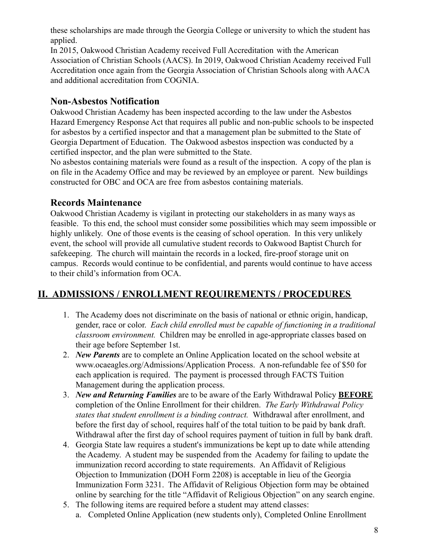these scholarships are made through the Georgia College or university to which the student has applied.

In 2015, Oakwood Christian Academy received Full Accreditation with the American Association of Christian Schools (AACS). In 2019, Oakwood Christian Academy received Full Accreditation once again from the Georgia Association of Christian Schools along with AACA and additional accreditation from COGNIA.

## **Non-Asbestos Notification**

Oakwood Christian Academy has been inspected according to the law under the Asbestos Hazard Emergency Response Act that requires all public and non-public schools to be inspected for asbestos by a certified inspector and that a management plan be submitted to the State of Georgia Department of Education. The Oakwood asbestos inspection was conducted by a certified inspector, and the plan were submitted to the State.

No asbestos containing materials were found as a result of the inspection. A copy of the plan is on file in the Academy Office and may be reviewed by an employee or parent. New buildings constructed for OBC and OCA are free from asbestos containing materials.

# **Records Maintenance**

Oakwood Christian Academy is vigilant in protecting our stakeholders in as many ways as feasible. To this end, the school must consider some possibilities which may seem impossible or highly unlikely. One of those events is the ceasing of school operation. In this very unlikely event, the school will provide all cumulative student records to Oakwood Baptist Church for safekeeping. The church will maintain the records in a locked, fire-proof storage unit on campus. Records would continue to be confidential, and parents would continue to have access to their child's information from OCA.

# **II. ADMISSIONS / ENROLLMENT REQUIREMENTS / PROCEDURES**

- 1. The Academy does not discriminate on the basis of national or ethnic origin, handicap, gender, race or color. *Each child enrolled must be capable of functioning in a traditional classroom environment.* Children may be enrolled in age-appropriate classes based on their age before September 1st.
- 2. *New Parents* are to complete an Online Application located on the school website at www.ocaeagles.org/Admissions/Application Process. A non-refundable fee of \$50 for each application is required. The payment is processed through FACTS Tuition Management during the application process.
- 3. *New and Returning Families* are to be aware of the Early Withdrawal Policy **BEFORE** completion of the Online Enrollment for their children. *The Early Withdrawal Policy states that student enrollment is a binding contract.* Withdrawal after enrollment, and before the first day of school, requires half of the total tuition to be paid by bank draft. Withdrawal after the first day of school requires payment of tuition in full by bank draft.
- 4. Georgia State law requires a student's immunizations be kept up to date while attending the Academy. A student may be suspended from the Academy for failing to update the immunization record according to state requirements. An Affidavit of Religious Objection to Immunization (DOH Form 2208) is acceptable in lieu of the Georgia Immunization Form 3231. The Affidavit of Religious Objection form may be obtained online by searching for the title "Affidavit of Religious Objection" on any search engine.
- 5. The following items are required before a student may attend classes:
	- a. Completed Online Application (new students only), Completed Online Enrollment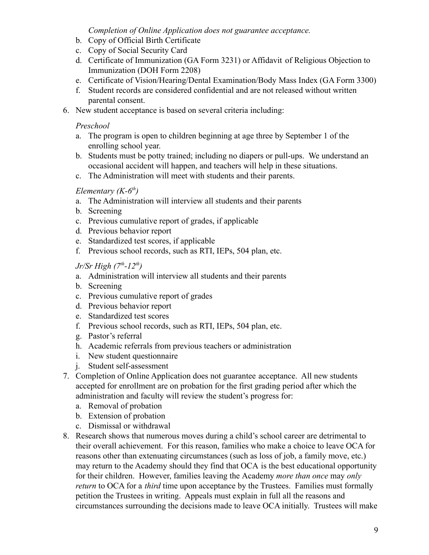#### *Completion of Online Application does not guarantee acceptance.*

- b. Copy of Official Birth Certificate
- c. Copy of Social Security Card
- d. Certificate of Immunization (GA Form 3231) or Affidavit of Religious Objection to Immunization (DOH Form 2208)
- e. Certificate of Vision/Hearing/Dental Examination/Body Mass Index (GA Form 3300)
- f. Student records are considered confidential and are not released without written parental consent.
- 6. New student acceptance is based on several criteria including:

#### *Preschool*

- a. The program is open to children beginning at age three by September 1 of the enrolling school year.
- b. Students must be potty trained; including no diapers or pull-ups. We understand an occasional accident will happen, and teachers will help in these situations.
- c. The Administration will meet with students and their parents.

#### *Elementary (K-6th )*

- a. The Administration will interview all students and their parents
- b. Screening
- c. Previous cumulative report of grades, if applicable
- d. Previous behavior report
- e. Standardized test scores, if applicable
- f. Previous school records, such as RTI, IEPs, 504 plan, etc.

#### *Jr/Sr High (7th -12th )*

- a. Administration will interview all students and their parents
- b. Screening
- c. Previous cumulative report of grades
- d. Previous behavior report
- e. Standardized test scores
- f. Previous school records, such as RTI, IEPs, 504 plan, etc.
- g. Pastor's referral
- h. Academic referrals from previous teachers or administration
- i. New student questionnaire
- j. Student self-assessment
- 7. Completion of Online Application does not guarantee acceptance. All new students accepted for enrollment are on probation for the first grading period after which the administration and faculty will review the student's progress for:
	- a. Removal of probation
	- b. Extension of probation
	- c. Dismissal or withdrawal
- 8. Research shows that numerous moves during a child's school career are detrimental to their overall achievement. For this reason, families who make a choice to leave OCA for reasons other than extenuating circumstances (such as loss of job, a family move, etc.) may return to the Academy should they find that OCA is the best educational opportunity for their children. However, families leaving the Academy *more than once* may *only return* to OCA for a *third* time upon acceptance by the Trustees. Families must formally petition the Trustees in writing. Appeals must explain in full all the reasons and circumstances surrounding the decisions made to leave OCA initially. Trustees will make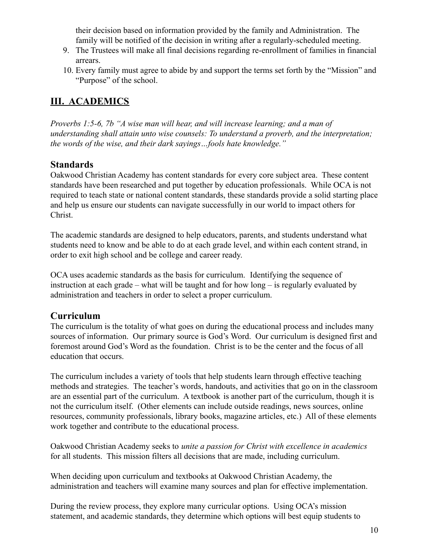their decision based on information provided by the family and Administration. The family will be notified of the decision in writing after a regularly-scheduled meeting.

- 9. The Trustees will make all final decisions regarding re-enrollment of families in financial arrears.
- 10. Every family must agree to abide by and support the terms set forth by the "Mission" and "Purpose" of the school.

# **III. ACADEMICS**

*Proverbs 1:5-6, 7b "A wise man will hear, and will increase learning; and a man of understanding shall attain unto wise counsels: To understand a proverb, and the interpretation; the words of the wise, and their dark sayings…fools hate knowledge."*

## **Standards**

Oakwood Christian Academy has content standards for every core subject area. These content standards have been researched and put together by education professionals. While OCA is not required to teach state or national content standards, these standards provide a solid starting place and help us ensure our students can navigate successfully in our world to impact others for Christ.

The academic standards are designed to help educators, parents, and students understand what students need to know and be able to do at each grade level, and within each content strand, in order to exit high school and be college and career ready.

OCA uses academic standards as the basis for curriculum. Identifying the sequence of instruction at each grade – what will be taught and for how long – is regularly evaluated by administration and teachers in order to select a proper curriculum.

# **Curriculum**

The curriculum is the totality of what goes on during the educational process and includes many sources of information. Our primary source is God's Word. Our curriculum is designed first and foremost around God's Word as the foundation. Christ is to be the center and the focus of all education that occurs.

The curriculum includes a variety of tools that help students learn through effective teaching methods and strategies. The teacher's words, handouts, and activities that go on in the classroom are an essential part of the curriculum. A textbook is another part of the curriculum, though it is not the curriculum itself. (Other elements can include outside readings, news sources, online resources, community professionals, library books, magazine articles, etc.) All of these elements work together and contribute to the educational process.

Oakwood Christian Academy seeks to *unite a passion for Christ with excellence in academics* for all students. This mission filters all decisions that are made, including curriculum.

When deciding upon curriculum and textbooks at Oakwood Christian Academy, the administration and teachers will examine many sources and plan for effective implementation.

During the review process, they explore many curricular options. Using OCA's mission statement, and academic standards, they determine which options will best equip students to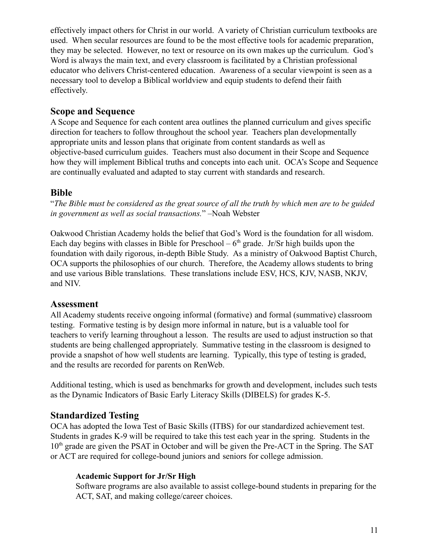effectively impact others for Christ in our world. A variety of Christian curriculum textbooks are used. When secular resources are found to be the most effective tools for academic preparation, they may be selected. However, no text or resource on its own makes up the curriculum. God's Word is always the main text, and every classroom is facilitated by a Christian professional educator who delivers Christ-centered education. Awareness of a secular viewpoint is seen as a necessary tool to develop a Biblical worldview and equip students to defend their faith effectively.

## **Scope and Sequence**

A Scope and Sequence for each content area outlines the planned curriculum and gives specific direction for teachers to follow throughout the school year. Teachers plan developmentally appropriate units and lesson plans that originate from content standards as well as objective-based curriculum guides. Teachers must also document in their Scope and Sequence how they will implement Biblical truths and concepts into each unit. OCA's Scope and Sequence are continually evaluated and adapted to stay current with standards and research.

## **Bible**

"*The Bible must be considered as the great source of all the truth by which men are to be guided in government as well as social transactions.*" –Noah Webster

Oakwood Christian Academy holds the belief that God's Word is the foundation for all wisdom. Each day begins with classes in Bible for Preschool –  $6<sup>th</sup>$  grade. Jr/Sr high builds upon the foundation with daily rigorous, in-depth Bible Study. As a ministry of Oakwood Baptist Church, OCA supports the philosophies of our church. Therefore, the Academy allows students to bring and use various Bible translations. These translations include ESV, HCS, KJV, NASB, NKJV, and NIV.

## **Assessment**

All Academy students receive ongoing informal (formative) and formal (summative) classroom testing. Formative testing is by design more informal in nature, but is a valuable tool for teachers to verify learning throughout a lesson. The results are used to adjust instruction so that students are being challenged appropriately. Summative testing in the classroom is designed to provide a snapshot of how well students are learning. Typically, this type of testing is graded, and the results are recorded for parents on RenWeb.

Additional testing, which is used as benchmarks for growth and development, includes such tests as the Dynamic Indicators of Basic Early Literacy Skills (DIBELS) for grades K-5.

## **Standardized Testing**

OCA has adopted the Iowa Test of Basic Skills (ITBS) for our standardized achievement test. Students in grades K-9 will be required to take this test each year in the spring. Students in the  $10<sup>th</sup>$  grade are given the PSAT in October and will be given the Pre-ACT in the Spring. The SAT or ACT are required for college-bound juniors and seniors for college admission.

## **Academic Support for Jr/Sr High**

Software programs are also available to assist college-bound students in preparing for the ACT, SAT, and making college/career choices.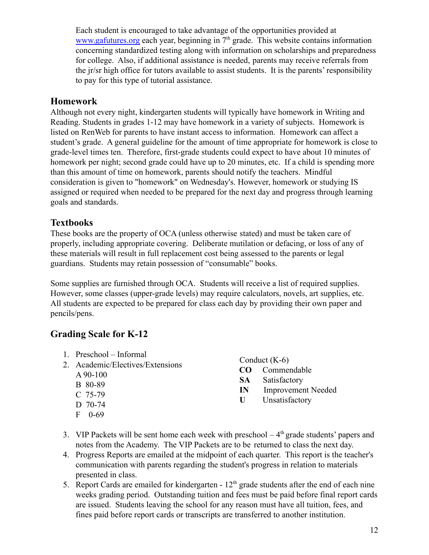Each student is encouraged to take advantage of the opportunities provided at [www.gafutures.org](http://www.gafutures.org) each year, beginning in  $7<sup>th</sup>$  grade. This website contains information concerning standardized testing along with information on scholarships and preparedness for college. Also, if additional assistance is needed, parents may receive referrals from the jr/sr high office for tutors available to assist students. It is the parents' responsibility to pay for this type of tutorial assistance.

## **Homework**

Although not every night, kindergarten students will typically have homework in Writing and Reading. Students in grades 1-12 may have homework in a variety of subjects. Homework is listed on RenWeb for parents to have instant access to information. Homework can affect a student's grade. A general guideline for the amount of time appropriate for homework is close to grade-level times ten. Therefore, first-grade students could expect to have about 10 minutes of homework per night; second grade could have up to 20 minutes, etc. If a child is spending more than this amount of time on homework, parents should notify the teachers. Mindful consideration is given to "homework" on Wednesday's. However, homework or studying IS assigned or required when needed to be prepared for the next day and progress through learning goals and standards.

# **Textbooks**

These books are the property of OCA (unless otherwise stated) and must be taken care of properly, including appropriate covering. Deliberate mutilation or defacing, or loss of any of these materials will result in full replacement cost being assessed to the parents or legal guardians. Students may retain possession of "consumable" books.

Some supplies are furnished through OCA. Students will receive a list of required supplies. However, some classes (upper-grade levels) may require calculators, novels, art supplies, etc. All students are expected to be prepared for class each day by providing their own paper and pencils/pens.

# **Grading Scale for K-12**

- 1. Preschool Informal 2. Academic/Electives/Extensions A 90-100 B 80-89 C 75-79 D 70-74 F 0-69 Conduct (K-6) **CO** Commendable **SA** Satisfactory **IN** Improvement Needed **U** Unsatisfactory
- 3. VIP Packets will be sent home each week with preschool  $-4<sup>th</sup>$  grade students' papers and notes from the Academy. The VIP Packets are to be returned to class the next day.
- 4. Progress Reports are emailed at the midpoint of each quarter. This report is the teacher's communication with parents regarding the student's progress in relation to materials presented in class.
- 5. Report Cards are emailed for kindergarten  $12<sup>th</sup>$  grade students after the end of each nine weeks grading period. Outstanding tuition and fees must be paid before final report cards are issued. Students leaving the school for any reason must have all tuition, fees, and fines paid before report cards or transcripts are transferred to another institution.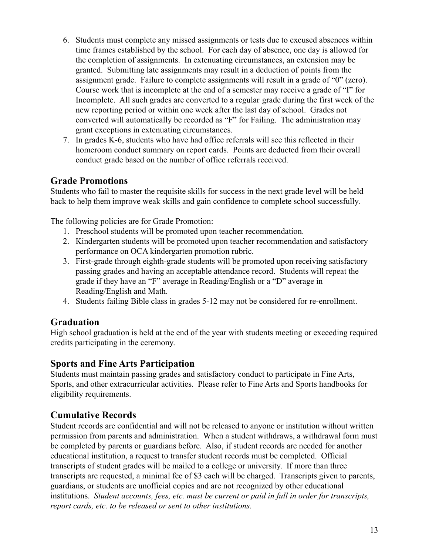- 6. Students must complete any missed assignments or tests due to excused absences within time frames established by the school. For each day of absence, one day is allowed for the completion of assignments. In extenuating circumstances, an extension may be granted. Submitting late assignments may result in a deduction of points from the assignment grade. Failure to complete assignments will result in a grade of "0" (zero). Course work that is incomplete at the end of a semester may receive a grade of "I" for Incomplete. All such grades are converted to a regular grade during the first week of the new reporting period or within one week after the last day of school. Grades not converted will automatically be recorded as "F" for Failing. The administration may grant exceptions in extenuating circumstances.
- 7. In grades K-6, students who have had office referrals will see this reflected in their homeroom conduct summary on report cards. Points are deducted from their overall conduct grade based on the number of office referrals received.

# **Grade Promotions**

Students who fail to master the requisite skills for success in the next grade level will be held back to help them improve weak skills and gain confidence to complete school successfully.

The following policies are for Grade Promotion:

- 1. Preschool students will be promoted upon teacher recommendation.
- 2. Kindergarten students will be promoted upon teacher recommendation and satisfactory performance on OCA kindergarten promotion rubric.
- 3. First-grade through eighth-grade students will be promoted upon receiving satisfactory passing grades and having an acceptable attendance record. Students will repeat the grade if they have an "F" average in Reading/English or a "D" average in Reading/English and Math.
- 4. Students failing Bible class in grades 5-12 may not be considered for re-enrollment.

# **Graduation**

High school graduation is held at the end of the year with students meeting or exceeding required credits participating in the ceremony.

## **Sports and Fine Arts Participation**

Students must maintain passing grades and satisfactory conduct to participate in Fine Arts, Sports, and other extracurricular activities. Please refer to Fine Arts and Sports handbooks for eligibility requirements.

## **Cumulative Records**

Student records are confidential and will not be released to anyone or institution without written permission from parents and administration. When a student withdraws, a withdrawal form must be completed by parents or guardians before. Also, if student records are needed for another educational institution, a request to transfer student records must be completed. Official transcripts of student grades will be mailed to a college or university. If more than three transcripts are requested, a minimal fee of \$3 each will be charged. Transcripts given to parents, guardians, or students are unofficial copies and are not recognized by other educational institutions. *Student accounts, fees, etc. must be current or paid in full in order for transcripts, report cards, etc. to be released or sent to other institutions.*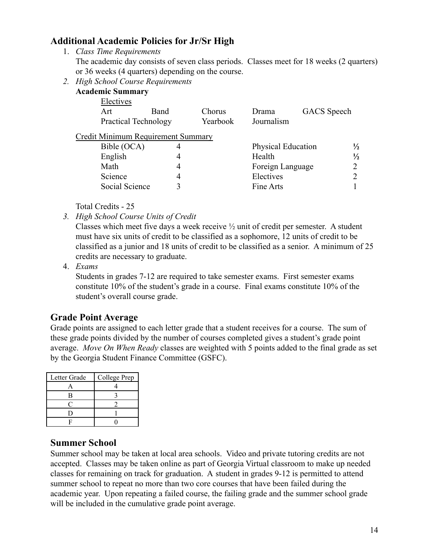## **Additional Academic Policies for Jr/Sr High**

1. *Class Time Requirements*

The academic day consists of seven class periods. Classes meet for 18 weeks (2 quarters) or 36 weeks (4 quarters) depending on the course.

*2. High School Course Requirements*

|                             | <b>Academic Summary</b>            |   |          |                           |                    |               |
|-----------------------------|------------------------------------|---|----------|---------------------------|--------------------|---------------|
|                             | Electives                          |   |          |                           |                    |               |
|                             | Art<br>Band                        |   | Chorus   | Drama                     | <b>GACS</b> Speech |               |
| <b>Practical Technology</b> |                                    |   | Yearbook | Journalism                |                    |               |
|                             | Credit Minimum Requirement Summary |   |          |                           |                    |               |
|                             | Bible (OCA)                        | 4 |          | <b>Physical Education</b> |                    | $\frac{1}{2}$ |
|                             | English                            | 4 |          | Health                    |                    | $\frac{1}{2}$ |
|                             | Math                               | 4 |          | Foreign Language          |                    |               |
|                             | Science                            | 4 |          | Electives                 |                    |               |
|                             | Social Science                     | 3 |          | Fine Arts                 |                    |               |
|                             |                                    |   |          |                           |                    |               |

Total Credits - 25

*3. High School Course Units of Credit*

Classes which meet five days a week receive ½ unit of credit per semester. A student must have six units of credit to be classified as a sophomore, 12 units of credit to be classified as a junior and 18 units of credit to be classified as a senior. A minimum of 25 credits are necessary to graduate.

4. *Exams*

Students in grades 7-12 are required to take semester exams. First semester exams constitute 10% of the student's grade in a course. Final exams constitute 10% of the student's overall course grade.

# **Grade Point Average**

Grade points are assigned to each letter grade that a student receives for a course. The sum of these grade points divided by the number of courses completed gives a student's grade point average. *Move On When Ready* classes are weighted with 5 points added to the final grade as set by the Georgia Student Finance Committee (GSFC).

| Letter Grade | College Prep |
|--------------|--------------|
|              |              |
|              |              |
|              |              |
|              |              |
|              |              |

## **Summer School**

Summer school may be taken at local area schools. Video and private tutoring credits are not accepted. Classes may be taken online as part of Georgia Virtual classroom to make up needed classes for remaining on track for graduation. A student in grades 9-12 is permitted to attend summer school to repeat no more than two core courses that have been failed during the academic year. Upon repeating a failed course, the failing grade and the summer school grade will be included in the cumulative grade point average.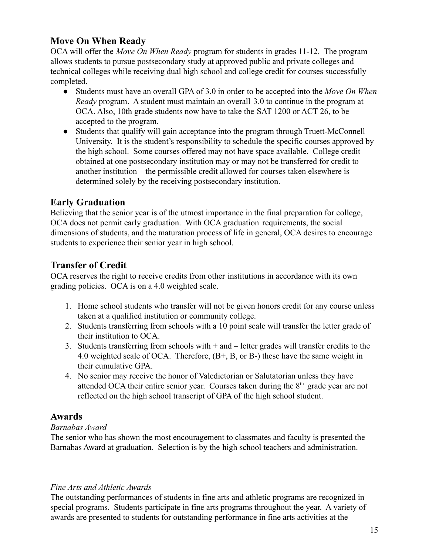# **Move On When Ready**

OCA will offer the *Move On When Ready* program for students in grades 11-12. The program allows students to pursue postsecondary study at approved public and private colleges and technical colleges while receiving dual high school and college credit for courses successfully completed.

- Students must have an overall GPA of 3.0 in order to be accepted into the *Move On When Ready* program. A student must maintain an overall 3.0 to continue in the program at OCA. Also, 10th grade students now have to take the SAT 1200 or ACT 26, to be accepted to the program.
- Students that qualify will gain acceptance into the program through Truett-McConnell University. It is the student's responsibility to schedule the specific courses approved by the high school. Some courses offered may not have space available. College credit obtained at one postsecondary institution may or may not be transferred for credit to another institution – the permissible credit allowed for courses taken elsewhere is determined solely by the receiving postsecondary institution.

## **Early Graduation**

Believing that the senior year is of the utmost importance in the final preparation for college, OCA does not permit early graduation. With OCA graduation requirements, the social dimensions of students, and the maturation process of life in general, OCA desires to encourage students to experience their senior year in high school.

# **Transfer of Credit**

OCA reserves the right to receive credits from other institutions in accordance with its own grading policies. OCA is on a 4.0 weighted scale.

- 1. Home school students who transfer will not be given honors credit for any course unless taken at a qualified institution or community college.
- 2. Students transferring from schools with a 10 point scale will transfer the letter grade of their institution to OCA.
- 3. Students transferring from schools with + and letter grades will transfer credits to the 4.0 weighted scale of OCA. Therefore, (B+, B, or B-) these have the same weight in their cumulative GPA.
- 4. No senior may receive the honor of Valedictorian or Salutatorian unless they have attended OCA their entire senior year. Courses taken during the  $8<sup>th</sup>$  grade year are not reflected on the high school transcript of GPA of the high school student.

## **Awards**

#### *Barnabas Award*

The senior who has shown the most encouragement to classmates and faculty is presented the Barnabas Award at graduation. Selection is by the high school teachers and administration.

#### *Fine Arts and Athletic Awards*

The outstanding performances of students in fine arts and athletic programs are recognized in special programs. Students participate in fine arts programs throughout the year. A variety of awards are presented to students for outstanding performance in fine arts activities at the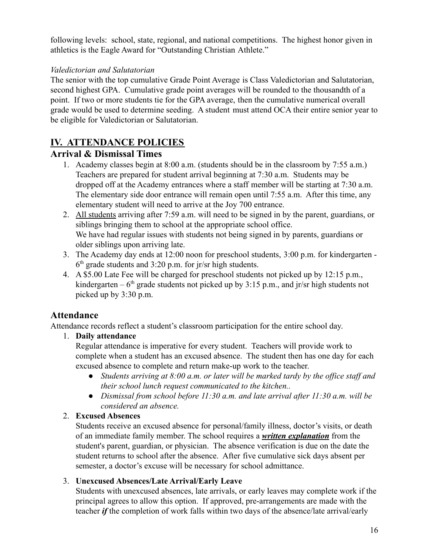following levels: school, state, regional, and national competitions. The highest honor given in athletics is the Eagle Award for "Outstanding Christian Athlete."

#### *Valedictorian and Salutatorian*

The senior with the top cumulative Grade Point Average is Class Valedictorian and Salutatorian, second highest GPA. Cumulative grade point averages will be rounded to the thousandth of a point. If two or more students tie for the GPA average, then the cumulative numerical overall grade would be used to determine seeding. A student must attend OCA their entire senior year to be eligible for Valedictorian or Salutatorian.

# **IV. ATTENDANCE POLICIES**

## **Arrival & Dismissal Times**

- 1. Academy classes begin at 8:00 a.m. (students should be in the classroom by 7:55 a.m.) Teachers are prepared for student arrival beginning at 7:30 a.m. Students may be dropped off at the Academy entrances where a staff member will be starting at 7:30 a.m. The elementary side door entrance will remain open until 7:55 a.m. After this time, any elementary student will need to arrive at the Joy 700 entrance.
- 2. All students arriving after 7:59 a.m. will need to be signed in by the parent, guardians, or siblings bringing them to school at the appropriate school office. We have had regular issues with students not being signed in by parents, guardians or older siblings upon arriving late.
- 3. The Academy day ends at 12:00 noon for preschool students, 3:00 p.m. for kindergarten  $6<sup>th</sup>$  grade students and 3:20 p.m. for jr/sr high students.
- 4. A \$5.00 Late Fee will be charged for preschool students not picked up by 12:15 p.m., kindergarten –  $6<sup>th</sup>$  grade students not picked up by 3:15 p.m., and jr/sr high students not picked up by 3:30 p.m.

# **Attendance**

Attendance records reflect a student's classroom participation for the entire school day.

## 1. **Daily attendance**

Regular attendance is imperative for every student. Teachers will provide work to complete when a student has an excused absence. The student then has one day for each excused absence to complete and return make-up work to the teacher.

- *● Students arriving at 8:00 a.m. or later will be marked tardy by the office staff and their school lunch request communicated to the kitchen..*
- *● Dismissal from school before 11:30 a.m. and late arrival after 11:30 a.m. will be considered an absence.*

## 2. **Excused Absences**

Students receive an excused absence for personal/family illness, doctor's visits, or death of an immediate family member. The school requires a *written explanation* from the student's parent, guardian, or physician. The absence verification is due on the date the student returns to school after the absence. After five cumulative sick days absent per semester, a doctor's excuse will be necessary for school admittance.

## 3. **Unexcused Absences/Late Arrival/Early Leave**

Students with unexcused absences, late arrivals, or early leaves may complete work if the principal agrees to allow this option. If approved, pre-arrangements are made with the teacher *if* the completion of work falls within two days of the absence/late arrival/early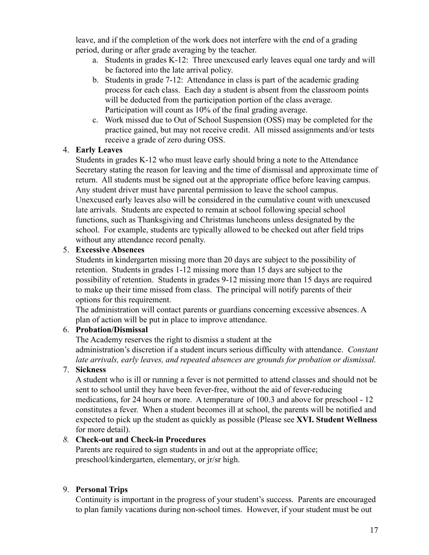leave, and if the completion of the work does not interfere with the end of a grading period, during or after grade averaging by the teacher.

- a. Students in grades K-12: Three unexcused early leaves equal one tardy and will be factored into the late arrival policy.
- b. Students in grade 7-12: Attendance in class is part of the academic grading process for each class. Each day a student is absent from the classroom points will be deducted from the participation portion of the class average. Participation will count as 10% of the final grading average.
- c. Work missed due to Out of School Suspension (OSS) may be completed for the practice gained, but may not receive credit. All missed assignments and/or tests receive a grade of zero during OSS.

#### 4. **Early Leaves**

Students in grades K-12 who must leave early should bring a note to the Attendance Secretary stating the reason for leaving and the time of dismissal and approximate time of return. All students must be signed out at the appropriate office before leaving campus. Any student driver must have parental permission to leave the school campus. Unexcused early leaves also will be considered in the cumulative count with unexcused late arrivals. Students are expected to remain at school following special school functions, such as Thanksgiving and Christmas luncheons unless designated by the school. For example, students are typically allowed to be checked out after field trips without any attendance record penalty.

#### 5. **Excessive Absences**

Students in kindergarten missing more than 20 days are subject to the possibility of retention. Students in grades 1-12 missing more than 15 days are subject to the possibility of retention. Students in grades 9-12 missing more than 15 days are required to make up their time missed from class. The principal will notify parents of their options for this requirement.

The administration will contact parents or guardians concerning excessive absences. A plan of action will be put in place to improve attendance.

#### 6. **Probation/Dismissal**

The Academy reserves the right to dismiss a student at the administration's discretion if a student incurs serious difficulty with attendance. *Constant late arrivals, early leaves, and repeated absences are grounds for probation or dismissal.*

#### 7. **Sickness**

A student who is ill or running a fever is not permitted to attend classes and should not be sent to school until they have been fever-free, without the aid of fever-reducing medications, for 24 hours or more. A temperature of 100.3 and above for preschool - 12 constitutes a fever. When a student becomes ill at school, the parents will be notified and expected to pick up the student as quickly as possible (Please see **XVI. Student Wellness** for more detail).

#### *8.* **Check-out and Check-in Procedures**

Parents are required to sign students in and out at the appropriate office; preschool/kindergarten, elementary, or jr/sr high.

#### 9. **Personal Trips**

Continuity is important in the progress of your student's success. Parents are encouraged to plan family vacations during non-school times. However, if your student must be out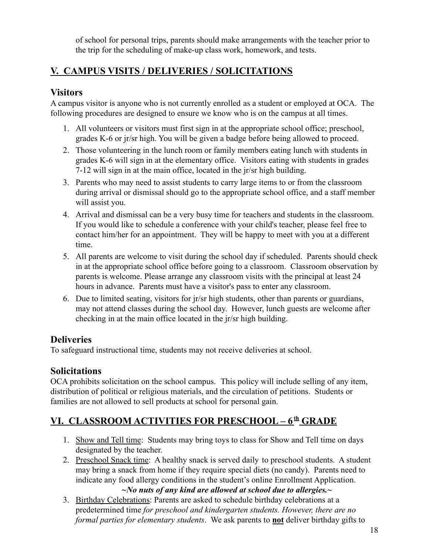of school for personal trips, parents should make arrangements with the teacher prior to the trip for the scheduling of make-up class work, homework, and tests.

# **V. CAMPUS VISITS / DELIVERIES / SOLICITATIONS**

## **Visitors**

A campus visitor is anyone who is not currently enrolled as a student or employed at OCA. The following procedures are designed to ensure we know who is on the campus at all times.

- 1. All volunteers or visitors must first sign in at the appropriate school office; preschool, grades K-6 or jr/sr high. You will be given a badge before being allowed to proceed.
- 2. Those volunteering in the lunch room or family members eating lunch with students in grades K-6 will sign in at the elementary office. Visitors eating with students in grades 7-12 will sign in at the main office, located in the jr/sr high building.
- 3. Parents who may need to assist students to carry large items to or from the classroom during arrival or dismissal should go to the appropriate school office, and a staff member will assist you.
- 4. Arrival and dismissal can be a very busy time for teachers and students in the classroom. If you would like to schedule a conference with your child's teacher, please feel free to contact him/her for an appointment. They will be happy to meet with you at a different time.
- 5. All parents are welcome to visit during the school day if scheduled. Parents should check in at the appropriate school office before going to a classroom. Classroom observation by parents is welcome. Please arrange any classroom visits with the principal at least 24 hours in advance. Parents must have a visitor's pass to enter any classroom.
- 6. Due to limited seating, visitors for jr/sr high students, other than parents or guardians, may not attend classes during the school day. However, lunch guests are welcome after checking in at the main office located in the jr/sr high building.

# **Deliveries**

To safeguard instructional time, students may not receive deliveries at school.

# **Solicitations**

OCA prohibits solicitation on the school campus. This policy will include selling of any item, distribution of political or religious materials, and the circulation of petitions. Students or families are not allowed to sell products at school for personal gain.

# **VI. CLASSROOM ACTIVITIES FOR PRESCHOOL – 6 th GRADE**

- 1. Show and Tell time: Students may bring toys to class for Show and Tell time on days designated by the teacher.
- 2. Preschool Snack time: A healthy snack is served daily to preschool students. A student may bring a snack from home if they require special diets (no candy). Parents need to indicate any food allergy conditions in the student's online Enrollment Application.

*~No nuts of any kind are allowed at school due to allergies.~*

3. Birthday Celebrations: Parents are asked to schedule birthday celebrations at a predetermined time *for preschool and kindergarten students. However, there are no formal parties for elementary students*. We ask parents to **not** deliver birthday gifts to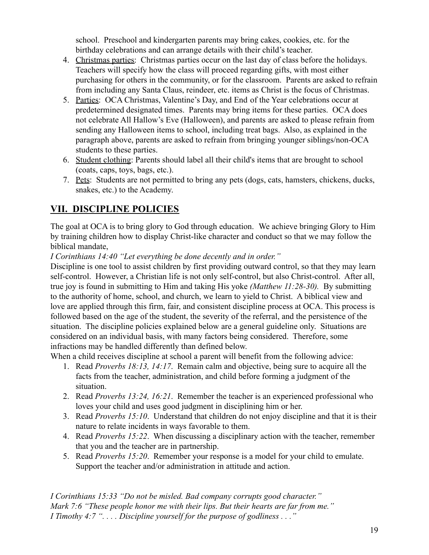school. Preschool and kindergarten parents may bring cakes, cookies, etc. for the birthday celebrations and can arrange details with their child's teacher.

- 4. Christmas parties: Christmas parties occur on the last day of class before the holidays. Teachers will specify how the class will proceed regarding gifts, with most either purchasing for others in the community, or for the classroom. Parents are asked to refrain from including any Santa Claus, reindeer, etc. items as Christ is the focus of Christmas.
- 5. Parties: OCA Christmas, Valentine's Day, and End of the Year celebrations occur at predetermined designated times. Parents may bring items for these parties. OCA does not celebrate All Hallow's Eve (Halloween), and parents are asked to please refrain from sending any Halloween items to school, including treat bags. Also, as explained in the paragraph above, parents are asked to refrain from bringing younger siblings/non-OCA students to these parties.
- 6. Student clothing: Parents should label all their child's items that are brought to school (coats, caps, toys, bags, etc.).
- 7. Pets: Students are not permitted to bring any pets (dogs, cats, hamsters, chickens, ducks, snakes, etc.) to the Academy.

# **VII. DISCIPLINE POLICIES**

The goal at OCA is to bring glory to God through education. We achieve bringing Glory to Him by training children how to display Christ-like character and conduct so that we may follow the biblical mandate,

*I Corinthians 14:40 "Let everything be done decently and in order."*

Discipline is one tool to assist children by first providing outward control, so that they may learn self-control. However, a Christian life is not only self-control, but also Christ-control. After all, true joy is found in submitting to Him and taking His yoke *(Matthew 11:28-30).* By submitting to the authority of home, school, and church, we learn to yield to Christ. A biblical view and love are applied through this firm, fair, and consistent discipline process at OCA. This process is followed based on the age of the student, the severity of the referral, and the persistence of the situation. The discipline policies explained below are a general guideline only. Situations are considered on an individual basis, with many factors being considered. Therefore, some infractions may be handled differently than defined below.

When a child receives discipline at school a parent will benefit from the following advice:

- 1. Read *Proverbs 18:13, 14:17*. Remain calm and objective, being sure to acquire all the facts from the teacher, administration, and child before forming a judgment of the situation.
- 2. Read *Proverbs 13:24, 16:21*. Remember the teacher is an experienced professional who loves your child and uses good judgment in disciplining him or her.
- 3. Read *Proverbs 15:10*. Understand that children do not enjoy discipline and that it is their nature to relate incidents in ways favorable to them.
- 4. Read *Proverbs 15:22*. When discussing a disciplinary action with the teacher, remember that you and the teacher are in partnership.
- 5. Read *Proverbs 15:20*. Remember your response is a model for your child to emulate. Support the teacher and/or administration in attitude and action.

*I Corinthians 15:33 "Do not be misled. Bad company corrupts good character." Mark 7:6 "These people honor me with their lips. But their hearts are far from me." I Timothy 4:7 ". . . . Discipline yourself for the purpose of godliness . . ."*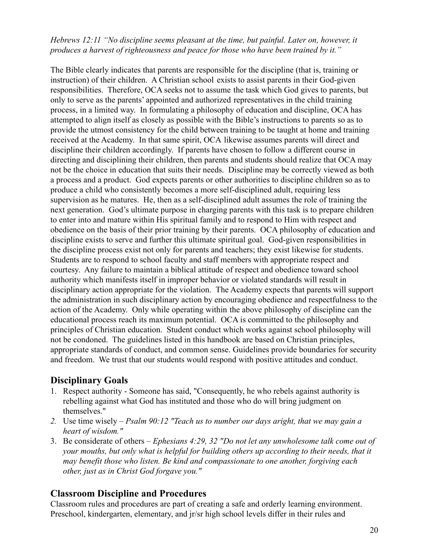#### *Hebrews 12:11 "No discipline seems pleasant at the time, but painful. Later on, however, it produces a harvest of righteousness and peace for those who have been trained by it."*

The Bible clearly indicates that parents are responsible for the discipline (that is, training or instruction) of their children. A Christian school exists to assist parents in their God-given responsibilities. Therefore, OCA seeks not to assume the task which God gives to parents, but only to serve as the parents' appointed and authorized representatives in the child training process, in a limited way. In formulating a philosophy of education and discipline, OCA has attempted to align itself as closely as possible with the Bible's instructions to parents so as to provide the utmost consistency for the child between training to be taught at home and training received at the Academy. In that same spirit, OCA likewise assumes parents will direct and discipline their children accordingly. If parents have chosen to follow a different course in directing and disciplining their children, then parents and students should realize that OCA may not be the choice in education that suits their needs. Discipline may be correctly viewed as both a process and a product. God expects parents or other authorities to discipline children so as to produce a child who consistently becomes a more self-disciplined adult, requiring less supervision as he matures. He, then as a self-disciplined adult assumes the role of training the next generation. God's ultimate purpose in charging parents with this task is to prepare children to enter into and mature within His spiritual family and to respond to Him with respect and obedience on the basis of their prior training by their parents. OCA philosophy of education and discipline exists to serve and further this ultimate spiritual goal. God-given responsibilities in the discipline process exist not only for parents and teachers; they exist likewise for students. Students are to respond to school faculty and staff members with appropriate respect and courtesy. Any failure to maintain a biblical attitude of respect and obedience toward school authority which manifests itself in improper behavior or violated standards will result in disciplinary action appropriate for the violation. The Academy expects that parents will support the administration in such disciplinary action by encouraging obedience and respectfulness to the action of the Academy. Only while operating within the above philosophy of discipline can the educational process reach its maximum potential. OCA is committed to the philosophy and principles of Christian education. Student conduct which works against school philosophy will not be condoned. The guidelines listed in this handbook are based on Christian principles, appropriate standards of conduct, and common sense. Guidelines provide boundaries for security and freedom. We trust that our students would respond with positive attitudes and conduct.

## **Disciplinary Goals**

- 1. Respect authority Someone has said, "Consequently, he who rebels against authority is rebelling against what God has instituted and those who do will bring judgment on themselves."
- *2.* Use time wisely *Psalm 90:12 "Teach us to number our days aright, that we may gain a heart of wisdom."*
- 3. Be considerate of others *Ephesians 4:29, 32 "Do not let any unwholesome talk come out of your mouths, but only what is helpful for building others up according to their needs, that it may benefit those who listen. Be kind and compassionate to one another, forgiving each other, just as in Christ God forgave you."*

#### **Classroom Discipline and Procedures**

Classroom rules and procedures are part of creating a safe and orderly learning environment. Preschool, kindergarten, elementary, and jr/sr high school levels differ in their rules and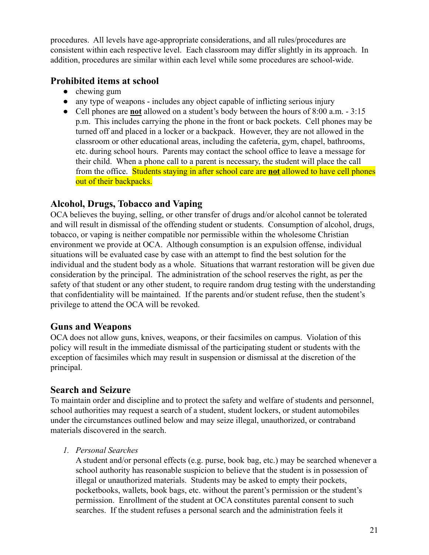procedures. All levels have age-appropriate considerations, and all rules/procedures are consistent within each respective level. Each classroom may differ slightly in its approach. In addition, procedures are similar within each level while some procedures are school-wide.

## **Prohibited items at school**

- $\bullet$  chewing gum
- any type of weapons includes any object capable of inflicting serious injury
- Cell phones are **not** allowed on a student's body between the hours of 8:00 a.m. 3:15 p.m. This includes carrying the phone in the front or back pockets. Cell phones may be turned off and placed in a locker or a backpack. However, they are not allowed in the classroom or other educational areas, including the cafeteria, gym, chapel, bathrooms, etc. during school hours. Parents may contact the school office to leave a message for their child. When a phone call to a parent is necessary, the student will place the call from the office. Students staying in after school care are **not** allowed to have cell phones out of their backpacks.

# **Alcohol, Drugs, Tobacco and Vaping**

OCA believes the buying, selling, or other transfer of drugs and/or alcohol cannot be tolerated and will result in dismissal of the offending student or students. Consumption of alcohol, drugs, tobacco, or vaping is neither compatible nor permissible within the wholesome Christian environment we provide at OCA. Although consumption is an expulsion offense, individual situations will be evaluated case by case with an attempt to find the best solution for the individual and the student body as a whole. Situations that warrant restoration will be given due consideration by the principal. The administration of the school reserves the right, as per the safety of that student or any other student, to require random drug testing with the understanding that confidentiality will be maintained. If the parents and/or student refuse, then the student's privilege to attend the OCA will be revoked.

## **Guns and Weapons**

OCA does not allow guns, knives, weapons, or their facsimiles on campus. Violation of this policy will result in the immediate dismissal of the participating student or students with the exception of facsimiles which may result in suspension or dismissal at the discretion of the principal.

## **Search and Seizure**

To maintain order and discipline and to protect the safety and welfare of students and personnel, school authorities may request a search of a student, student lockers, or student automobiles under the circumstances outlined below and may seize illegal, unauthorized, or contraband materials discovered in the search.

#### *1. Personal Searches*

A student and/or personal effects (e.g. purse, book bag, etc.) may be searched whenever a school authority has reasonable suspicion to believe that the student is in possession of illegal or unauthorized materials. Students may be asked to empty their pockets, pocketbooks, wallets, book bags, etc. without the parent's permission or the student's permission. Enrollment of the student at OCA constitutes parental consent to such searches. If the student refuses a personal search and the administration feels it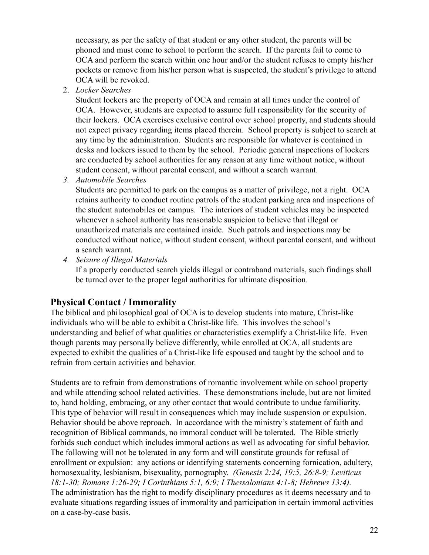necessary, as per the safety of that student or any other student, the parents will be phoned and must come to school to perform the search. If the parents fail to come to OCA and perform the search within one hour and/or the student refuses to empty his/her pockets or remove from his/her person what is suspected, the student's privilege to attend OCA will be revoked.

2. *Locker Searches*

Student lockers are the property of OCA and remain at all times under the control of OCA. However, students are expected to assume full responsibility for the security of their lockers. OCA exercises exclusive control over school property, and students should not expect privacy regarding items placed therein. School property is subject to search at any time by the administration. Students are responsible for whatever is contained in desks and lockers issued to them by the school. Periodic general inspections of lockers are conducted by school authorities for any reason at any time without notice, without student consent, without parental consent, and without a search warrant.

*3. Automobile Searches*

Students are permitted to park on the campus as a matter of privilege, not a right. OCA retains authority to conduct routine patrols of the student parking area and inspections of the student automobiles on campus. The interiors of student vehicles may be inspected whenever a school authority has reasonable suspicion to believe that illegal or unauthorized materials are contained inside. Such patrols and inspections may be conducted without notice, without student consent, without parental consent, and without a search warrant.

*4. Seizure of Illegal Materials*

If a properly conducted search yields illegal or contraband materials, such findings shall be turned over to the proper legal authorities for ultimate disposition.

# **Physical Contact / Immorality**

The biblical and philosophical goal of OCA is to develop students into mature, Christ-like individuals who will be able to exhibit a Christ-like life. This involves the school's understanding and belief of what qualities or characteristics exemplify a Christ-like life. Even though parents may personally believe differently, while enrolled at OCA, all students are expected to exhibit the qualities of a Christ-like life espoused and taught by the school and to refrain from certain activities and behavior.

Students are to refrain from demonstrations of romantic involvement while on school property and while attending school related activities. These demonstrations include, but are not limited to, hand holding, embracing, or any other contact that would contribute to undue familiarity. This type of behavior will result in consequences which may include suspension or expulsion. Behavior should be above reproach. In accordance with the ministry's statement of faith and recognition of Biblical commands, no immoral conduct will be tolerated. The Bible strictly forbids such conduct which includes immoral actions as well as advocating for sinful behavior. The following will not be tolerated in any form and will constitute grounds for refusal of enrollment or expulsion: any actions or identifying statements concerning fornication, adultery, homosexuality, lesbianism, bisexuality, pornography. *(Genesis 2:24, 19:5, 26:8-9; Leviticus 18:1-30; Romans 1:26-29; I Corinthians 5:1, 6:9; I Thessalonians 4:1-8; Hebrews 13:4).* The administration has the right to modify disciplinary procedures as it deems necessary and to evaluate situations regarding issues of immorality and participation in certain immoral activities on a case-by-case basis.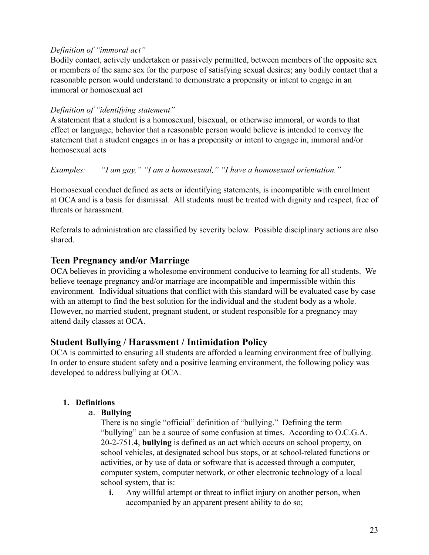#### *Definition of "immoral act"*

Bodily contact, actively undertaken or passively permitted, between members of the opposite sex or members of the same sex for the purpose of satisfying sexual desires; any bodily contact that a reasonable person would understand to demonstrate a propensity or intent to engage in an immoral or homosexual act

#### *Definition of "identifying statement"*

A statement that a student is a homosexual, bisexual, or otherwise immoral, or words to that effect or language; behavior that a reasonable person would believe is intended to convey the statement that a student engages in or has a propensity or intent to engage in, immoral and/or homosexual acts

*Examples: "I am gay," "I am a homosexual," "I have a homosexual orientation."*

Homosexual conduct defined as acts or identifying statements, is incompatible with enrollment at OCA and is a basis for dismissal. All students must be treated with dignity and respect, free of threats or harassment.

Referrals to administration are classified by severity below. Possible disciplinary actions are also shared.

#### **Teen Pregnancy and/or Marriage**

OCA believes in providing a wholesome environment conducive to learning for all students. We believe teenage pregnancy and/or marriage are incompatible and impermissible within this environment. Individual situations that conflict with this standard will be evaluated case by case with an attempt to find the best solution for the individual and the student body as a whole. However, no married student, pregnant student, or student responsible for a pregnancy may attend daily classes at OCA.

## **Student Bullying / Harassment / Intimidation Policy**

OCA is committed to ensuring all students are afforded a learning environment free of bullying. In order to ensure student safety and a positive learning environment, the following policy was developed to address bullying at OCA.

#### **1. Definitions**

#### a. **Bullying**

There is no single "official" definition of "bullying." Defining the term "bullying" can be a source of some confusion at times. According to O.C.G.A. 20-2-751.4, **bullying** is defined as an act which occurs on school property, on school vehicles, at designated school bus stops, or at school-related functions or activities, or by use of data or software that is accessed through a computer, computer system, computer network, or other electronic technology of a local school system, that is:

**i.** Any willful attempt or threat to inflict injury on another person, when accompanied by an apparent present ability to do so;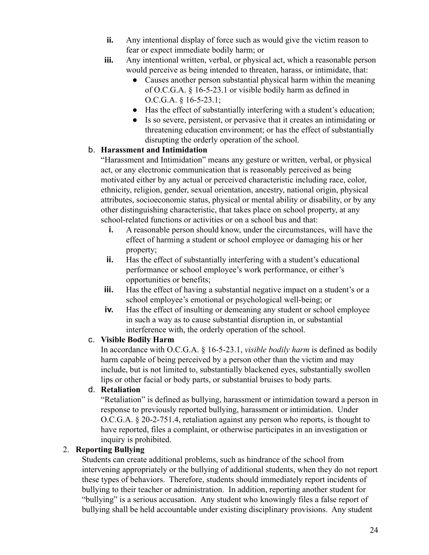- **ii.** Any intentional display of force such as would give the victim reason to fear or expect immediate bodily harm; or
- **iii.** Any intentional written, verbal, or physical act, which a reasonable person would perceive as being intended to threaten, harass, or intimidate, that:
	- Causes another person substantial physical harm within the meaning of O.C.G.A. § 16-5-23.1 or visible bodily harm as defined in O.C.G.A. § 16-5-23.1;
	- Has the effect of substantially interfering with a student's education;
	- Is so severe, persistent, or pervasive that it creates an intimidating or threatening education environment; or has the effect of substantially disrupting the orderly operation of the school.

#### b. **Harassment and Intimidation**

"Harassment and Intimidation" means any gesture or written, verbal, or physical act, or any electronic communication that is reasonably perceived as being motivated either by any actual or perceived characteristic including race, color, ethnicity, religion, gender, sexual orientation, ancestry, national origin, physical attributes, socioeconomic status, physical or mental ability or disability, or by any other distinguishing characteristic, that takes place on school property, at any school-related functions or activities or on a school bus and that:

- **i.** A reasonable person should know, under the circumstances, will have the effect of harming a student or school employee or damaging his or her property;
- **ii.** Has the effect of substantially interfering with a student's educational performance or school employee's work performance, or either's opportunities or benefits;
- **iii.** Has the effect of having a substantial negative impact on a student's or a school employee's emotional or psychological well-being; or
- **iv.** Has the effect of insulting or demeaning any student or school employee in such a way as to cause substantial disruption in, or substantial interference with, the orderly operation of the school.

#### c. **Visible Bodily Harm**

In accordance with O.C.G.A. § 16-5-23.1, *visible bodily harm* is defined as bodily harm capable of being perceived by a person other than the victim and may include, but is not limited to, substantially blackened eyes, substantially swollen lips or other facial or body parts, or substantial bruises to body parts.

#### d. **Retaliation**

"Retaliation" is defined as bullying, harassment or intimidation toward a person in response to previously reported bullying, harassment or intimidation. Under O.C.G.A. § 20-2-751.4, retaliation against any person who reports, is thought to have reported, files a complaint, or otherwise participates in an investigation or inquiry is prohibited.

#### 2. **Reporting Bullying**

Students can create additional problems, such as hindrance of the school from intervening appropriately or the bullying of additional students, when they do not report these types of behaviors. Therefore, students should immediately report incidents of bullying to their teacher or administration. In addition, reporting another student for "bullying" is a serious accusation. Any student who knowingly files a false report of bullying shall be held accountable under existing disciplinary provisions. Any student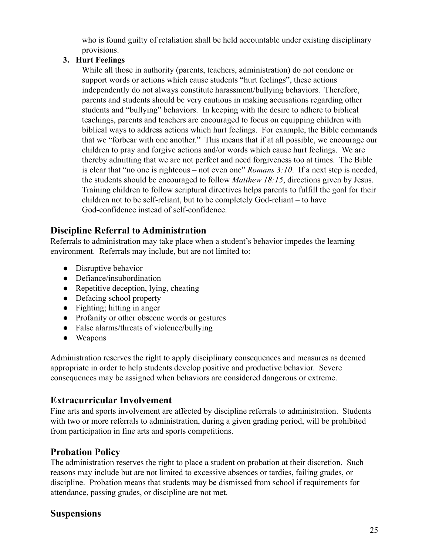who is found guilty of retaliation shall be held accountable under existing disciplinary provisions.

#### **3. Hurt Feelings**

While all those in authority (parents, teachers, administration) do not condone or support words or actions which cause students "hurt feelings", these actions independently do not always constitute harassment/bullying behaviors. Therefore, parents and students should be very cautious in making accusations regarding other students and "bullying" behaviors. In keeping with the desire to adhere to biblical teachings, parents and teachers are encouraged to focus on equipping children with biblical ways to address actions which hurt feelings. For example, the Bible commands that we "forbear with one another." This means that if at all possible, we encourage our children to pray and forgive actions and/or words which cause hurt feelings. We are thereby admitting that we are not perfect and need forgiveness too at times. The Bible is clear that "no one is righteous – not even one" *Romans 3:10*. If a next step is needed, the students should be encouraged to follow *Matthew 18:15*, directions given by Jesus. Training children to follow scriptural directives helps parents to fulfill the goal for their children not to be self-reliant, but to be completely God-reliant – to have God-confidence instead of self-confidence.

## **Discipline Referral to Administration**

Referrals to administration may take place when a student's behavior impedes the learning environment. Referrals may include, but are not limited to:

- Disruptive behavior
- Defiance/insubordination
- Repetitive deception, lying, cheating
- Defacing school property
- Fighting; hitting in anger
- Profanity or other obscene words or gestures
- False alarms/threats of violence/bullying
- Weapons

Administration reserves the right to apply disciplinary consequences and measures as deemed appropriate in order to help students develop positive and productive behavior. Severe consequences may be assigned when behaviors are considered dangerous or extreme.

# **Extracurricular Involvement**

Fine arts and sports involvement are affected by discipline referrals to administration. Students with two or more referrals to administration, during a given grading period, will be prohibited from participation in fine arts and sports competitions.

## **Probation Policy**

The administration reserves the right to place a student on probation at their discretion. Such reasons may include but are not limited to excessive absences or tardies, failing grades, or discipline. Probation means that students may be dismissed from school if requirements for attendance, passing grades, or discipline are not met.

## **Suspensions**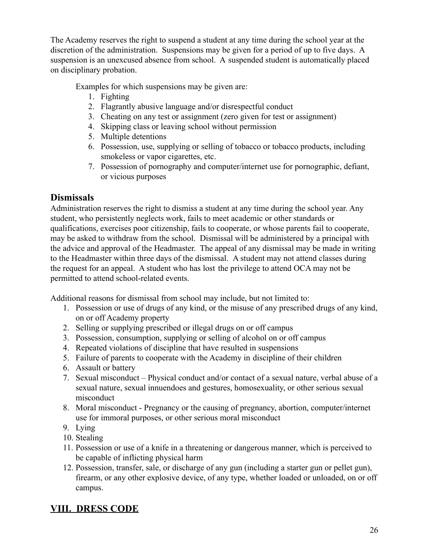The Academy reserves the right to suspend a student at any time during the school year at the discretion of the administration. Suspensions may be given for a period of up to five days. A suspension is an unexcused absence from school. A suspended student is automatically placed on disciplinary probation.

Examples for which suspensions may be given are:

- 1. Fighting
- 2. Flagrantly abusive language and/or disrespectful conduct
- 3. Cheating on any test or assignment (zero given for test or assignment)
- 4. Skipping class or leaving school without permission
- 5. Multiple detentions
- 6. Possession, use, supplying or selling of tobacco or tobacco products, including smokeless or vapor cigarettes, etc.
- 7. Possession of pornography and computer/internet use for pornographic, defiant, or vicious purposes

# **Dismissals**

Administration reserves the right to dismiss a student at any time during the school year. Any student, who persistently neglects work, fails to meet academic or other standards or qualifications, exercises poor citizenship, fails to cooperate, or whose parents fail to cooperate, may be asked to withdraw from the school. Dismissal will be administered by a principal with the advice and approval of the Headmaster. The appeal of any dismissal may be made in writing to the Headmaster within three days of the dismissal. A student may not attend classes during the request for an appeal. A student who has lost the privilege to attend OCA may not be permitted to attend school-related events.

Additional reasons for dismissal from school may include, but not limited to:

- 1. Possession or use of drugs of any kind, or the misuse of any prescribed drugs of any kind, on or off Academy property
- 2. Selling or supplying prescribed or illegal drugs on or off campus
- 3. Possession, consumption, supplying or selling of alcohol on or off campus
- 4. Repeated violations of discipline that have resulted in suspensions
- 5. Failure of parents to cooperate with the Academy in discipline of their children
- 6. Assault or battery
- 7. Sexual misconduct Physical conduct and/or contact of a sexual nature, verbal abuse of a sexual nature, sexual innuendoes and gestures, homosexuality, or other serious sexual misconduct
- 8. Moral misconduct Pregnancy or the causing of pregnancy, abortion, computer/internet use for immoral purposes, or other serious moral misconduct
- 9. Lying
- 10. Stealing
- 11. Possession or use of a knife in a threatening or dangerous manner, which is perceived to be capable of inflicting physical harm
- 12. Possession, transfer, sale, or discharge of any gun (including a starter gun or pellet gun), firearm, or any other explosive device, of any type, whether loaded or unloaded, on or off campus.

# **VIII. DRESS CODE**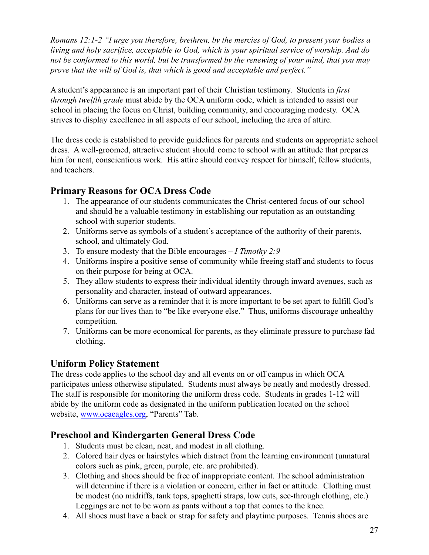*Romans 12:1-2 "I urge you therefore, brethren, by the mercies of God, to present your bodies a living and holy sacrifice, acceptable to God, which is your spiritual service of worship. And do not be conformed to this world, but be transformed by the renewing of your mind, that you may prove that the will of God is, that which is good and acceptable and perfect."*

A student's appearance is an important part of their Christian testimony. Students in *first through twelfth grade* must abide by the OCA uniform code, which is intended to assist our school in placing the focus on Christ, building community, and encouraging modesty. OCA strives to display excellence in all aspects of our school, including the area of attire.

The dress code is established to provide guidelines for parents and students on appropriate school dress. A well-groomed, attractive student should come to school with an attitude that prepares him for neat, conscientious work. His attire should convey respect for himself, fellow students, and teachers.

## **Primary Reasons for OCA Dress Code**

- 1. The appearance of our students communicates the Christ-centered focus of our school and should be a valuable testimony in establishing our reputation as an outstanding school with superior students.
- 2. Uniforms serve as symbols of a student's acceptance of the authority of their parents, school, and ultimately God.
- 3. To ensure modesty that the Bible encourages *I Timothy 2:9*
- 4. Uniforms inspire a positive sense of community while freeing staff and students to focus on their purpose for being at OCA.
- 5. They allow students to express their individual identity through inward avenues, such as personality and character, instead of outward appearances.
- 6. Uniforms can serve as a reminder that it is more important to be set apart to fulfill God's plans for our lives than to "be like everyone else." Thus, uniforms discourage unhealthy competition.
- 7. Uniforms can be more economical for parents, as they eliminate pressure to purchase fad clothing.

# **Uniform Policy Statement**

The dress code applies to the school day and all events on or off campus in which OCA participates unless otherwise stipulated. Students must always be neatly and modestly dressed. The staff is responsible for monitoring the uniform dress code. Students in grades 1-12 will abide by the uniform code as designated in the uniform publication located on the school website, [www.ocaeagles.org](http://www.ocaeagles.org), "Parents" Tab.

# **Preschool and Kindergarten General Dress Code**

- 1. Students must be clean, neat, and modest in all clothing.
- 2. Colored hair dyes or hairstyles which distract from the learning environment (unnatural colors such as pink, green, purple, etc. are prohibited).
- 3. Clothing and shoes should be free of inappropriate content. The school administration will determine if there is a violation or concern, either in fact or attitude. Clothing must be modest (no midriffs, tank tops, spaghetti straps, low cuts, see-through clothing, etc.) Leggings are not to be worn as pants without a top that comes to the knee.
- 4. All shoes must have a back or strap for safety and playtime purposes. Tennis shoes are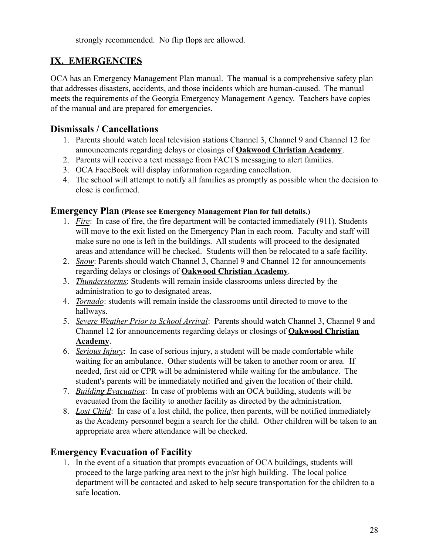strongly recommended. No flip flops are allowed.

# **IX. EMERGENCIES**

OCA has an Emergency Management Plan manual. The manual is a comprehensive safety plan that addresses disasters, accidents, and those incidents which are human-caused. The manual meets the requirements of the Georgia Emergency Management Agency. Teachers have copies of the manual and are prepared for emergencies.

## **Dismissals / Cancellations**

- 1. Parents should watch local television stations Channel 3, Channel 9 and Channel 12 for announcements regarding delays or closings of **Oakwood Christian Academy**.
- 2. Parents will receive a text message from FACTS messaging to alert families.
- 3. OCA FaceBook will display information regarding cancellation.
- 4. The school will attempt to notify all families as promptly as possible when the decision to close is confirmed.

#### **Emergency Plan (Please see Emergency Management Plan for full details.)**

- 1. *Fire*: In case of fire, the fire department will be contacted immediately (911). Students will move to the exit listed on the Emergency Plan in each room. Faculty and staff will make sure no one is left in the buildings. All students will proceed to the designated areas and attendance will be checked. Students will then be relocated to a safe facility.
- 2. *Snow*: Parents should watch Channel 3, Channel 9 and Channel 12 for announcements regarding delays or closings of **Oakwood Christian Academy**.
- 3. *Thunderstorms*: Students will remain inside classrooms unless directed by the administration to go to designated areas.
- 4. *Tornado*: students will remain inside the classrooms until directed to move to the hallways.
- 5. *Severe Weather Prior to School Arrival*: Parents should watch Channel 3, Channel 9 and Channel 12 for announcements regarding delays or closings of **Oakwood Christian Academy**.
- 6. *Serious Injury*: In case of serious injury, a student will be made comfortable while waiting for an ambulance. Other students will be taken to another room or area. If needed, first aid or CPR will be administered while waiting for the ambulance. The student's parents will be immediately notified and given the location of their child.
- 7. *Building Evacuation*: In case of problems with an OCA building, students will be evacuated from the facility to another facility as directed by the administration.
- 8. *Lost Child*: In case of a lost child, the police, then parents, will be notified immediately as the Academy personnel begin a search for the child. Other children will be taken to an appropriate area where attendance will be checked.

# **Emergency Evacuation of Facility**

1. In the event of a situation that prompts evacuation of OCA buildings, students will proceed to the large parking area next to the jr/sr high building. The local police department will be contacted and asked to help secure transportation for the children to a safe location.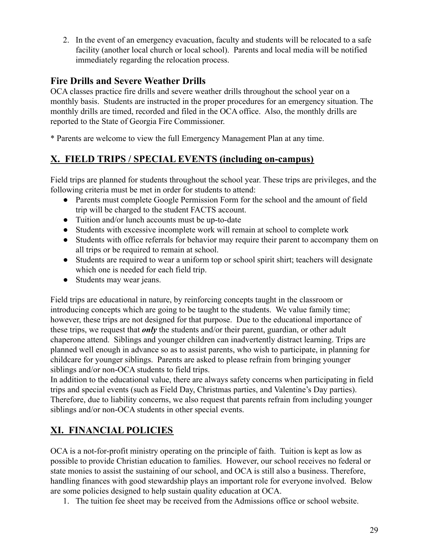2. In the event of an emergency evacuation, faculty and students will be relocated to a safe facility (another local church or local school). Parents and local media will be notified immediately regarding the relocation process.

## **Fire Drills and Severe Weather Drills**

OCA classes practice fire drills and severe weather drills throughout the school year on a monthly basis. Students are instructed in the proper procedures for an emergency situation. The monthly drills are timed, recorded and filed in the OCA office. Also, the monthly drills are reported to the State of Georgia Fire Commissioner.

\* Parents are welcome to view the full Emergency Management Plan at any time.

# **X. FIELD TRIPS / SPECIAL EVENTS (including on-campus)**

Field trips are planned for students throughout the school year. These trips are privileges, and the following criteria must be met in order for students to attend:

- Parents must complete Google Permission Form for the school and the amount of field trip will be charged to the student FACTS account.
- Tuition and/or lunch accounts must be up-to-date
- Students with excessive incomplete work will remain at school to complete work
- Students with office referrals for behavior may require their parent to accompany them on all trips or be required to remain at school.
- Students are required to wear a uniform top or school spirit shirt; teachers will designate which one is needed for each field trip.
- Students may wear jeans.

Field trips are educational in nature, by reinforcing concepts taught in the classroom or introducing concepts which are going to be taught to the students. We value family time; however, these trips are not designed for that purpose. Due to the educational importance of these trips, we request that *only* the students and/or their parent, guardian, or other adult chaperone attend. Siblings and younger children can inadvertently distract learning. Trips are planned well enough in advance so as to assist parents, who wish to participate, in planning for childcare for younger siblings. Parents are asked to please refrain from bringing younger siblings and/or non-OCA students to field trips.

In addition to the educational value, there are always safety concerns when participating in field trips and special events (such as Field Day, Christmas parties, and Valentine's Day parties). Therefore, due to liability concerns, we also request that parents refrain from including younger siblings and/or non-OCA students in other special events.

# **XI. FINANCIAL POLICIES**

OCA is a not-for-profit ministry operating on the principle of faith. Tuition is kept as low as possible to provide Christian education to families. However, our school receives no federal or state monies to assist the sustaining of our school, and OCA is still also a business. Therefore, handling finances with good stewardship plays an important role for everyone involved. Below are some policies designed to help sustain quality education at OCA.

1. The tuition fee sheet may be received from the Admissions office or school website.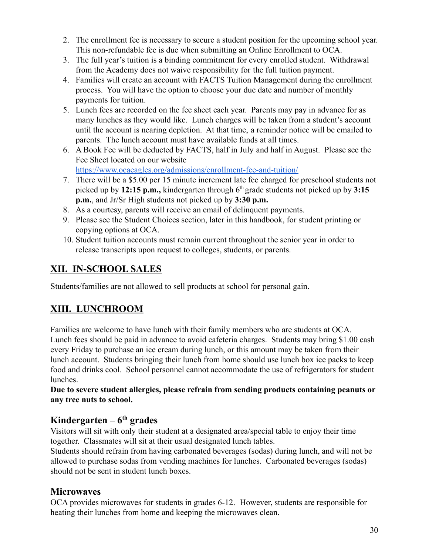- 2. The enrollment fee is necessary to secure a student position for the upcoming school year. This non-refundable fee is due when submitting an Online Enrollment to OCA.
- 3. The full year's tuition is a binding commitment for every enrolled student. Withdrawal from the Academy does not waive responsibility for the full tuition payment.
- 4. Families will create an account with FACTS Tuition Management during the enrollment process. You will have the option to choose your due date and number of monthly payments for tuition.
- 5. Lunch fees are recorded on the fee sheet each year. Parents may pay in advance for as many lunches as they would like. Lunch charges will be taken from a student's account until the account is nearing depletion. At that time, a reminder notice will be emailed to parents. The lunch account must have available funds at all times.
- 6. A Book Fee will be deducted by FACTS, half in July and half in August. Please see the Fee Sheet located on our website <https://www.ocaeagles.org/admissions/enrollment-fee-and-tuition/>
- 7. There will be a \$5.00 per 15 minute increment late fee charged for preschool students not picked up by **12:15 p.m.,** kindergarten through  $6<sup>th</sup>$  grade students not picked up by 3:15 **p.m.**, and Jr/Sr High students not picked up by **3:30 p.m.**
- 8. As a courtesy, parents will receive an email of delinquent payments.
- 9. Please see the Student Choices section, later in this handbook, for student printing or copying options at OCA.
- 10. Student tuition accounts must remain current throughout the senior year in order to release transcripts upon request to colleges, students, or parents.

# **XII. IN-SCHOOL SALES**

Students/families are not allowed to sell products at school for personal gain.

# **XIII. LUNCHROOM**

Families are welcome to have lunch with their family members who are students at OCA. Lunch fees should be paid in advance to avoid cafeteria charges. Students may bring \$1.00 cash every Friday to purchase an ice cream during lunch, or this amount may be taken from their lunch account. Students bringing their lunch from home should use lunch box ice packs to keep food and drinks cool. School personnel cannot accommodate the use of refrigerators for student lunches.

**Due to severe student allergies, please refrain from sending products containing peanuts or any tree nuts to school.**

# **Kindergarten – 6 th grades**

Visitors will sit with only their student at a designated area/special table to enjoy their time together. Classmates will sit at their usual designated lunch tables.

Students should refrain from having carbonated beverages (sodas) during lunch, and will not be allowed to purchase sodas from vending machines for lunches. Carbonated beverages (sodas) should not be sent in student lunch boxes.

# **Microwaves**

OCA provides microwaves for students in grades 6-12. However, students are responsible for heating their lunches from home and keeping the microwaves clean.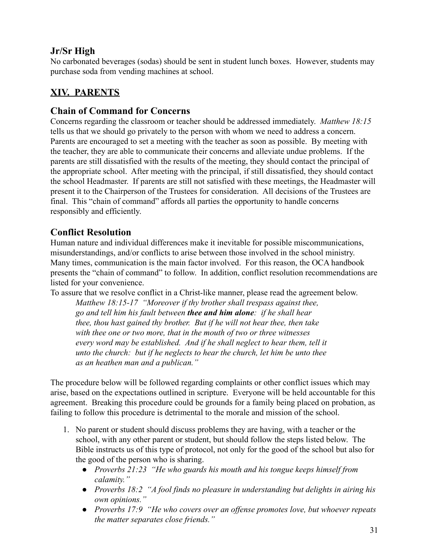# **Jr/Sr High**

No carbonated beverages (sodas) should be sent in student lunch boxes. However, students may purchase soda from vending machines at school.

# **XIV. PARENTS**

## **Chain of Command for Concerns**

Concerns regarding the classroom or teacher should be addressed immediately. *Matthew 18:15* tells us that we should go privately to the person with whom we need to address a concern. Parents are encouraged to set a meeting with the teacher as soon as possible. By meeting with the teacher, they are able to communicate their concerns and alleviate undue problems. If the parents are still dissatisfied with the results of the meeting, they should contact the principal of the appropriate school. After meeting with the principal, if still dissatisfied, they should contact the school Headmaster. If parents are still not satisfied with these meetings, the Headmaster will present it to the Chairperson of the Trustees for consideration. All decisions of the Trustees are final. This "chain of command" affords all parties the opportunity to handle concerns responsibly and efficiently.

## **Conflict Resolution**

Human nature and individual differences make it inevitable for possible miscommunications, misunderstandings, and/or conflicts to arise between those involved in the school ministry. Many times, communication is the main factor involved. For this reason, the OCA handbook presents the "chain of command" to follow. In addition, conflict resolution recommendations are listed for your convenience.

To assure that we resolve conflict in a Christ-like manner, please read the agreement below.

*Matthew 18:15-17 "Moreover if thy brother shall trespass against thee, go and tell him his fault between thee and him alone: if he shall hear thee, thou hast gained thy brother. But if he will not hear thee, then take with thee one or two more, that in the mouth of two or three witnesses every word may be established. And if he shall neglect to hear them, tell it unto the church: but if he neglects to hear the church, let him be unto thee as an heathen man and a publican."*

The procedure below will be followed regarding complaints or other conflict issues which may arise, based on the expectations outlined in scripture. Everyone will be held accountable for this agreement. Breaking this procedure could be grounds for a family being placed on probation, as failing to follow this procedure is detrimental to the morale and mission of the school.

- 1. No parent or student should discuss problems they are having, with a teacher or the school, with any other parent or student, but should follow the steps listed below. The Bible instructs us of this type of protocol, not only for the good of the school but also for the good of the person who is sharing.
	- *● Proverbs 21:23 "He who guards his mouth and his tongue keeps himself from calamity."*
	- *● Proverbs 18:2 "A fool finds no pleasure in understanding but delights in airing his own opinions."*
	- *● Proverbs 17:9 "He who covers over an offense promotes love, but whoever repeats the matter separates close friends."*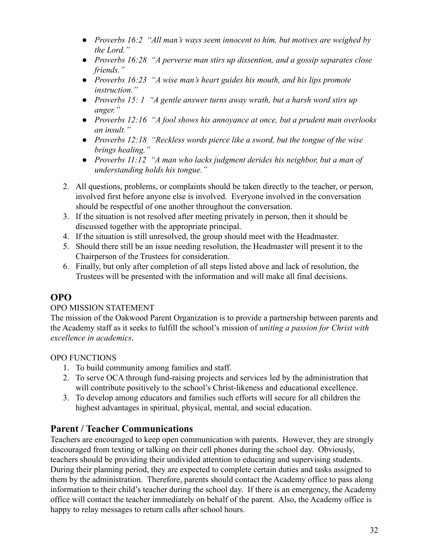- *● Proverbs 16:2 "All man's ways seem innocent to him, but motives are weighed by the Lord."*
- *● Proverbs 16:28 "A perverse man stirs up dissention, and a gossip separates close friends."*
- *● Proverbs 16:23 "A wise man's heart guides his mouth, and his lips promote instruction."*
- *● Proverbs 15: 1 "A gentle answer turns away wrath, but a harsh word stirs up anger."*
- *● Proverbs 12:16 "A fool shows his annoyance at once, but a prudent man overlooks an insult."*
- *● Proverbs 12:18 "Reckless words pierce like a sword, but the tongue of the wise brings healing."*
- *● Proverbs 11:12 "A man who lacks judgment derides his neighbor, but a man of understanding holds his tongue."*
- 2. All questions, problems, or complaints should be taken directly to the teacher, or person, involved first before anyone else is involved. Everyone involved in the conversation should be respectful of one another throughout the conversation.
- 3. If the situation is not resolved after meeting privately in person, then it should be discussed together with the appropriate principal.
- 4. If the situation is still unresolved, the group should meet with the Headmaster.
- 5. Should there still be an issue needing resolution, the Headmaster will present it to the Chairperson of the Trustees for consideration.
- 6. Finally, but only after completion of all steps listed above and lack of resolution, the Trustees will be presented with the information and will make all final decisions.

# **OPO**

## OPO MISSION STATEMENT

The mission of the Oakwood Parent Organization is to provide a partnership between parents and the Academy staff as it seeks to fulfill the school's mission of *uniting a passion for Christ with excellence in academics*.

#### OPO FUNCTIONS

- 1. To build community among families and staff.
- 2. To serve OCA through fund-raising projects and services led by the administration that will contribute positively to the school's Christ-likeness and educational excellence.
- 3. To develop among educators and families such efforts will secure for all children the highest advantages in spiritual, physical, mental, and social education.

# **Parent / Teacher Communications**

Teachers are encouraged to keep open communication with parents. However, they are strongly discouraged from texting or talking on their cell phones during the school day. Obviously, teachers should be providing their undivided attention to educating and supervising students. During their planning period, they are expected to complete certain duties and tasks assigned to them by the administration. Therefore, parents should contact the Academy office to pass along information to their child's teacher during the school day. If there is an emergency, the Academy office will contact the teacher immediately on behalf of the parent. Also, the Academy office is happy to relay messages to return calls after school hours.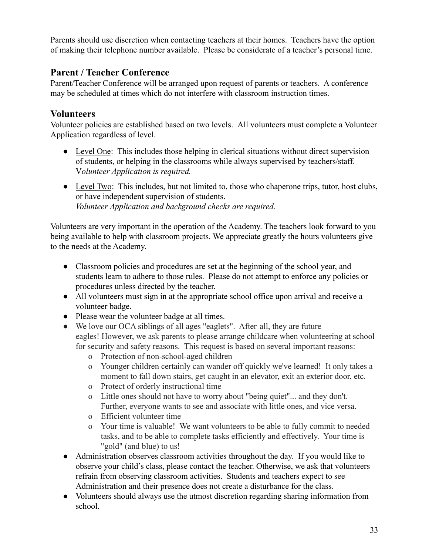Parents should use discretion when contacting teachers at their homes. Teachers have the option of making their telephone number available. Please be considerate of a teacher's personal time.

## **Parent / Teacher Conference**

Parent/Teacher Conference will be arranged upon request of parents or teachers. A conference may be scheduled at times which do not interfere with classroom instruction times.

## **Volunteers**

Volunteer policies are established based on two levels. All volunteers must complete a Volunteer Application regardless of level.

- *●* Level One: This includes those helping in clerical situations without direct supervision of students, or helping in the classrooms while always supervised by teachers/staff. V*olunteer Application is required.*
- *●* Level Two: This includes, but not limited to, those who chaperone trips, tutor, host clubs, or have independent supervision of students. *Volunteer Application and background checks are required.*

Volunteers are very important in the operation of the Academy. The teachers look forward to you being available to help with classroom projects. We appreciate greatly the hours volunteers give to the needs at the Academy.

- Classroom policies and procedures are set at the beginning of the school year, and students learn to adhere to those rules. Please do not attempt to enforce any policies or procedures unless directed by the teacher.
- All volunteers must sign in at the appropriate school office upon arrival and receive a volunteer badge.
- Please wear the volunteer badge at all times.
- We love our OCA siblings of all ages "eaglets". After all, they are future eagles! However, we ask parents to please arrange childcare when volunteering at school for security and safety reasons. This request is based on several important reasons:
	- o Protection of non-school-aged children
	- o Younger children certainly can wander off quickly we've learned! It only takes a moment to fall down stairs, get caught in an elevator, exit an exterior door, etc.
	- o Protect of orderly instructional time
	- o Little ones should not have to worry about "being quiet"... and they don't. Further, everyone wants to see and associate with little ones, and vice versa.
	- o Efficient volunteer time
	- o Your time is valuable! We want volunteers to be able to fully commit to needed tasks, and to be able to complete tasks efficiently and effectively. Your time is "gold" (and blue) to us!
- Administration observes classroom activities throughout the day. If you would like to observe your child's class, please contact the teacher. Otherwise, we ask that volunteers refrain from observing classroom activities. Students and teachers expect to see Administration and their presence does not create a disturbance for the class.
- Volunteers should always use the utmost discretion regarding sharing information from school.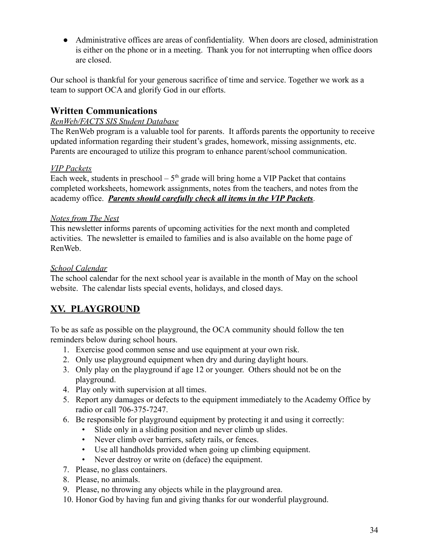● Administrative offices are areas of confidentiality. When doors are closed, administration is either on the phone or in a meeting. Thank you for not interrupting when office doors are closed.

Our school is thankful for your generous sacrifice of time and service. Together we work as a team to support OCA and glorify God in our efforts.

# **Written Communications**

#### *RenWeb/FACTS SIS Student Database*

The RenWeb program is a valuable tool for parents. It affords parents the opportunity to receive updated information regarding their student's grades, homework, missing assignments, etc. Parents are encouraged to utilize this program to enhance parent/school communication.

#### *VIP Packets*

Each week, students in preschool –  $5<sup>th</sup>$  grade will bring home a VIP Packet that contains completed worksheets, homework assignments, notes from the teachers, and notes from the academy office. *Parents should carefully check all items in the VIP Packets.*

#### *Notes from The Nest*

This newsletter informs parents of upcoming activities for the next month and completed activities. The newsletter is emailed to families and is also available on the home page of RenWeb.

#### *School Calendar*

The school calendar for the next school year is available in the month of May on the school website. The calendar lists special events, holidays, and closed days.

# **XV. PLAYGROUND**

To be as safe as possible on the playground, the OCA community should follow the ten reminders below during school hours.

- 1. Exercise good common sense and use equipment at your own risk.
- 2. Only use playground equipment when dry and during daylight hours.
- 3. Only play on the playground if age 12 or younger. Others should not be on the playground.
- 4. Play only with supervision at all times.
- 5. Report any damages or defects to the equipment immediately to the Academy Office by radio or call 706-375-7247.
- 6. Be responsible for playground equipment by protecting it and using it correctly:
	- Slide only in a sliding position and never climb up slides.
	- Never climb over barriers, safety rails, or fences.
	- Use all handholds provided when going up climbing equipment.
	- Never destroy or write on (deface) the equipment.
- 7. Please, no glass containers.
- 8. Please, no animals.
- 9. Please, no throwing any objects while in the playground area.
- 10. Honor God by having fun and giving thanks for our wonderful playground.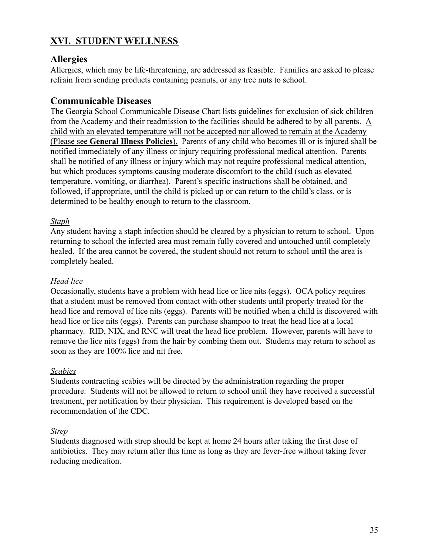# **XVI. STUDENT WELLNESS**

## **Allergies**

Allergies, which may be life-threatening, are addressed as feasible. Families are asked to please refrain from sending products containing peanuts, or any tree nuts to school.

## **Communicable Diseases**

The Georgia School Communicable Disease Chart lists guidelines for exclusion of sick children from the Academy and their readmission to the facilities should be adhered to by all parents. A child with an elevated temperature will not be accepted nor allowed to remain at the Academy (Please see **General Illness Policies**). Parents of any child who becomes ill or is injured shall be notified immediately of any illness or injury requiring professional medical attention. Parents shall be notified of any illness or injury which may not require professional medical attention, but which produces symptoms causing moderate discomfort to the child (such as elevated temperature, vomiting, or diarrhea). Parent's specific instructions shall be obtained, and followed, if appropriate, until the child is picked up or can return to the child's class. or is determined to be healthy enough to return to the classroom.

#### *Staph*

Any student having a staph infection should be cleared by a physician to return to school. Upon returning to school the infected area must remain fully covered and untouched until completely healed. If the area cannot be covered, the student should not return to school until the area is completely healed.

#### *Head lice*

Occasionally, students have a problem with head lice or lice nits (eggs). OCA policy requires that a student must be removed from contact with other students until properly treated for the head lice and removal of lice nits (eggs). Parents will be notified when a child is discovered with head lice or lice nits (eggs). Parents can purchase shampoo to treat the head lice at a local pharmacy. RID, NIX, and RNC will treat the head lice problem. However, parents will have to remove the lice nits (eggs) from the hair by combing them out. Students may return to school as soon as they are 100% lice and nit free.

#### *Scabies*

Students contracting scabies will be directed by the administration regarding the proper procedure. Students will not be allowed to return to school until they have received a successful treatment, per notification by their physician. This requirement is developed based on the recommendation of the CDC.

#### *Strep*

Students diagnosed with strep should be kept at home 24 hours after taking the first dose of antibiotics. They may return after this time as long as they are fever-free without taking fever reducing medication.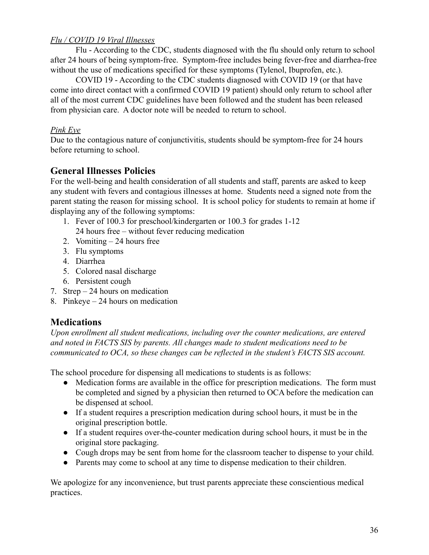#### *Flu / COVID 19 Viral Illnesses*

Flu - According to the CDC, students diagnosed with the flu should only return to school after 24 hours of being symptom-free. Symptom-free includes being fever-free and diarrhea-free without the use of medications specified for these symptoms (Tylenol, Ibuprofen, etc.).

COVID 19 - According to the CDC students diagnosed with COVID 19 (or that have come into direct contact with a confirmed COVID 19 patient) should only return to school after all of the most current CDC guidelines have been followed and the student has been released from physician care. A doctor note will be needed to return to school.

#### *Pink Eye*

Due to the contagious nature of conjunctivitis, students should be symptom-free for 24 hours before returning to school.

# **General Illnesses Policies**

For the well-being and health consideration of all students and staff, parents are asked to keep any student with fevers and contagious illnesses at home. Students need a signed note from the parent stating the reason for missing school. It is school policy for students to remain at home if displaying any of the following symptoms:

- 1. Fever of 100.3 for preschool/kindergarten or 100.3 for grades 1-12
	- 24 hours free without fever reducing medication
- 2. Vomiting 24 hours free
- 3. Flu symptoms
- 4. Diarrhea
- 5. Colored nasal discharge
- 6. Persistent cough
- 7. Strep 24 hours on medication
- 8. Pinkeye 24 hours on medication

# **Medications**

*Upon enrollment all student medications, including over the counter medications, are entered and noted in FACTS SIS by parents. All changes made to student medications need to be communicated to OCA, so these changes can be reflected in the student's FACTS SIS account.*

The school procedure for dispensing all medications to students is as follows:

- Medication forms are available in the office for prescription medications. The form must be completed and signed by a physician then returned to OCA before the medication can be dispensed at school.
- If a student requires a prescription medication during school hours, it must be in the original prescription bottle.
- If a student requires over-the-counter medication during school hours, it must be in the original store packaging.
- Cough drops may be sent from home for the classroom teacher to dispense to your child.
- Parents may come to school at any time to dispense medication to their children.

We apologize for any inconvenience, but trust parents appreciate these conscientious medical practices.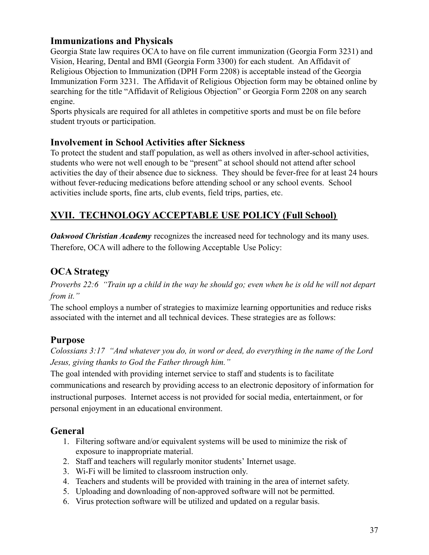## **Immunizations and Physicals**

Georgia State law requires OCA to have on file current immunization (Georgia Form 3231) and Vision, Hearing, Dental and BMI (Georgia Form 3300) for each student. An Affidavit of Religious Objection to Immunization (DPH Form 2208) is acceptable instead of the Georgia Immunization Form 3231. The Affidavit of Religious Objection form may be obtained online by searching for the title "Affidavit of Religious Objection" or Georgia Form 2208 on any search engine.

Sports physicals are required for all athletes in competitive sports and must be on file before student tryouts or participation.

## **Involvement in School Activities after Sickness**

To protect the student and staff population, as well as others involved in after-school activities, students who were not well enough to be "present" at school should not attend after school activities the day of their absence due to sickness. They should be fever-free for at least 24 hours without fever-reducing medications before attending school or any school events. School activities include sports, fine arts, club events, field trips, parties, etc.

# **XVII. TECHNOLOGY ACCEPTABLE USE POLICY (Full School)**

*Oakwood Christian Academy* recognizes the increased need for technology and its many uses. Therefore, OCA will adhere to the following Acceptable Use Policy:

# **OCA Strategy**

*Proverbs 22:6 "Train up a child in the way he should go; even when he is old he will not depart from it."*

The school employs a number of strategies to maximize learning opportunities and reduce risks associated with the internet and all technical devices. These strategies are as follows:

# **Purpose**

*Colossians 3:17 "And whatever you do, in word or deed, do everything in the name of the Lord Jesus, giving thanks to God the Father through him."*

The goal intended with providing internet service to staff and students is to facilitate communications and research by providing access to an electronic depository of information for instructional purposes. Internet access is not provided for social media, entertainment, or for personal enjoyment in an educational environment.

## **General**

- 1. Filtering software and/or equivalent systems will be used to minimize the risk of exposure to inappropriate material.
- 2. Staff and teachers will regularly monitor students' Internet usage.
- 3. Wi-Fi will be limited to classroom instruction only.
- 4. Teachers and students will be provided with training in the area of internet safety.
- 5. Uploading and downloading of non-approved software will not be permitted.
- 6. Virus protection software will be utilized and updated on a regular basis.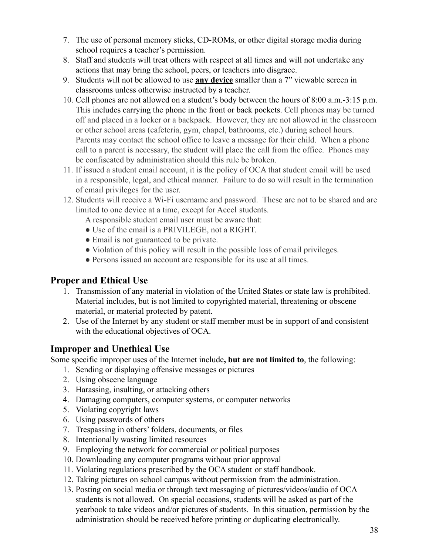- 7. The use of personal memory sticks, CD-ROMs, or other digital storage media during school requires a teacher's permission.
- 8. Staff and students will treat others with respect at all times and will not undertake any actions that may bring the school, peers, or teachers into disgrace.
- 9. Students will not be allowed to use **any device** smaller than a 7" viewable screen in classrooms unless otherwise instructed by a teacher.
- 10. Cell phones are not allowed on a student's body between the hours of 8:00 a.m.-3:15 p.m. This includes carrying the phone in the front or back pockets. Cell phones may be turned off and placed in a locker or a backpack. However, they are not allowed in the classroom or other school areas (cafeteria, gym, chapel, bathrooms, etc.) during school hours. Parents may contact the school office to leave a message for their child. When a phone call to a parent is necessary, the student will place the call from the office. Phones may be confiscated by administration should this rule be broken.
- 11. If issued a student email account, it is the policy of OCA that student email will be used in a responsible, legal, and ethical manner. Failure to do so will result in the termination of email privileges for the user.
- 12. Students will receive a Wi-Fi username and password. These are not to be shared and are limited to one device at a time, except for Accel students.
	- A responsible student email user must be aware that:
	- Use of the email is a PRIVILEGE, not a RIGHT.
	- Email is not guaranteed to be private.
	- Violation of this policy will result in the possible loss of email privileges.
	- Persons issued an account are responsible for its use at all times.

## **Proper and Ethical Use**

- 1. Transmission of any material in violation of the United States or state law is prohibited. Material includes, but is not limited to copyrighted material, threatening or obscene material, or material protected by patent.
- 2. Use of the Internet by any student or staff member must be in support of and consistent with the educational objectives of OCA.

## **Improper and Unethical Use**

Some specific improper uses of the Internet include**, but are not limited to**, the following:

- 1. Sending or displaying offensive messages or pictures
- 2. Using obscene language
- 3. Harassing, insulting, or attacking others
- 4. Damaging computers, computer systems, or computer networks
- 5. Violating copyright laws
- 6. Using passwords of others
- 7. Trespassing in others' folders, documents, or files
- 8. Intentionally wasting limited resources
- 9. Employing the network for commercial or political purposes
- 10. Downloading any computer programs without prior approval
- 11. Violating regulations prescribed by the OCA student or staff handbook.
- 12. Taking pictures on school campus without permission from the administration.
- 13. Posting on social media or through text messaging of pictures/videos/audio of OCA students is not allowed. On special occasions, students will be asked as part of the yearbook to take videos and/or pictures of students. In this situation, permission by the administration should be received before printing or duplicating electronically.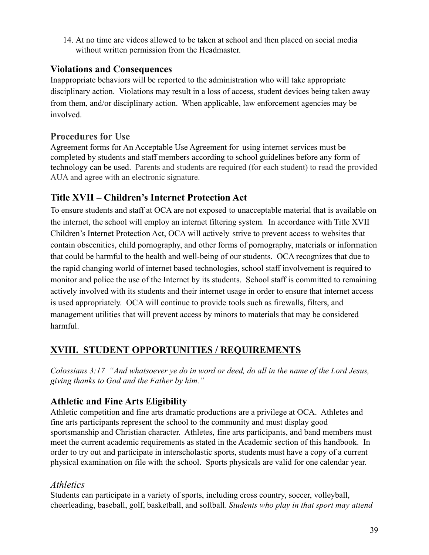14. At no time are videos allowed to be taken at school and then placed on social media without written permission from the Headmaster.

## **Violations and Consequences**

Inappropriate behaviors will be reported to the administration who will take appropriate disciplinary action. Violations may result in a loss of access, student devices being taken away from them, and/or disciplinary action. When applicable, law enforcement agencies may be involved.

# **Procedures for Use**

Agreement forms for An Acceptable Use Agreement for using internet services must be completed by students and staff members according to school guidelines before any form of technology can be used. Parents and students are required (for each student) to read the provided AUA and agree with an electronic signature.

# **Title XVII – Children's Internet Protection Act**

To ensure students and staff at OCA are not exposed to unacceptable material that is available on the internet, the school will employ an internet filtering system. In accordance with Title XVII Children's Internet Protection Act, OCA will actively strive to prevent access to websites that contain obscenities, child pornography, and other forms of pornography, materials or information that could be harmful to the health and well-being of our students. OCA recognizes that due to the rapid changing world of internet based technologies, school staff involvement is required to monitor and police the use of the Internet by its students. School staff is committed to remaining actively involved with its students and their internet usage in order to ensure that internet access is used appropriately. OCA will continue to provide tools such as firewalls, filters, and management utilities that will prevent access by minors to materials that may be considered harmful.

# **XVIII. STUDENT OPPORTUNITIES / REQUIREMENTS**

*Colossians 3:17 "And whatsoever ye do in word or deed, do all in the name of the Lord Jesus, giving thanks to God and the Father by him."*

# **Athletic and Fine Arts Eligibility**

Athletic competition and fine arts dramatic productions are a privilege at OCA. Athletes and fine arts participants represent the school to the community and must display good sportsmanship and Christian character. Athletes, fine arts participants, and band members must meet the current academic requirements as stated in the Academic section of this handbook. In order to try out and participate in interscholastic sports, students must have a copy of a current physical examination on file with the school. Sports physicals are valid for one calendar year.

## *Athletics*

Students can participate in a variety of sports, including cross country, soccer, volleyball, cheerleading, baseball, golf, basketball, and softball. *Students who play in that sport may attend*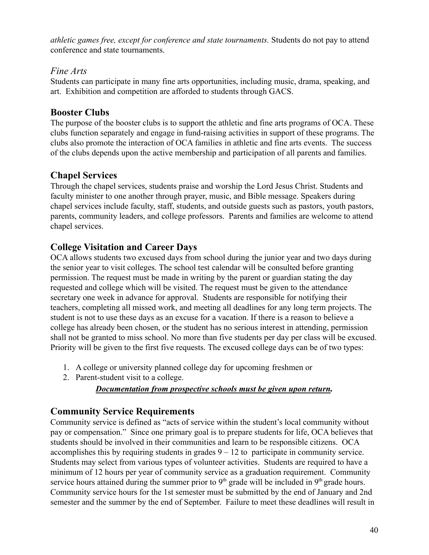*athletic games free, except for conference and state tournaments.* Students do not pay to attend conference and state tournaments.

## *Fine Arts*

Students can participate in many fine arts opportunities, including music, drama, speaking, and art. Exhibition and competition are afforded to students through GACS.

## **Booster Clubs**

The purpose of the booster clubs is to support the athletic and fine arts programs of OCA. These clubs function separately and engage in fund-raising activities in support of these programs. The clubs also promote the interaction of OCA families in athletic and fine arts events. The success of the clubs depends upon the active membership and participation of all parents and families.

## **Chapel Services**

Through the chapel services, students praise and worship the Lord Jesus Christ. Students and faculty minister to one another through prayer, music, and Bible message. Speakers during chapel services include faculty, staff, students, and outside guests such as pastors, youth pastors, parents, community leaders, and college professors. Parents and families are welcome to attend chapel services.

# **College Visitation and Career Days**

OCA allows students two excused days from school during the junior year and two days during the senior year to visit colleges. The school test calendar will be consulted before granting permission. The request must be made in writing by the parent or guardian stating the day requested and college which will be visited. The request must be given to the attendance secretary one week in advance for approval. Students are responsible for notifying their teachers, completing all missed work, and meeting all deadlines for any long term projects. The student is not to use these days as an excuse for a vacation. If there is a reason to believe a college has already been chosen, or the student has no serious interest in attending, permission shall not be granted to miss school. No more than five students per day per class will be excused. Priority will be given to the first five requests. The excused college days can be of two types:

- 1. A college or university planned college day for upcoming freshmen or
- 2. Parent-student visit to a college.

*Documentation from prospective schools must be given upon return.*

# **Community Service Requirements**

Community service is defined as "acts of service within the student's local community without pay or compensation." Since one primary goal is to prepare students for life, OCA believes that students should be involved in their communities and learn to be responsible citizens. OCA accomplishes this by requiring students in grades  $9 - 12$  to participate in community service. Students may select from various types of volunteer activities. Students are required to have a minimum of 12 hours per year of community service as a graduation requirement. Community service hours attained during the summer prior to  $9<sup>th</sup>$  grade will be included in  $9<sup>th</sup>$  grade hours. Community service hours for the 1st semester must be submitted by the end of January and 2nd semester and the summer by the end of September. Failure to meet these deadlines will result in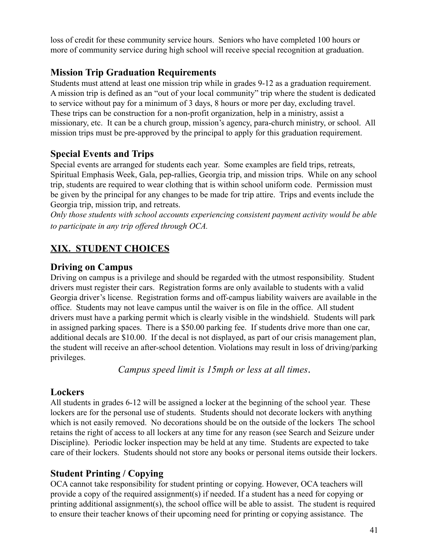loss of credit for these community service hours. Seniors who have completed 100 hours or more of community service during high school will receive special recognition at graduation.

# **Mission Trip Graduation Requirements**

Students must attend at least one mission trip while in grades 9-12 as a graduation requirement. A mission trip is defined as an "out of your local community" trip where the student is dedicated to service without pay for a minimum of 3 days, 8 hours or more per day, excluding travel. These trips can be construction for a non-profit organization, help in a ministry, assist a missionary, etc. It can be a church group, mission's agency, para-church ministry, or school. All mission trips must be pre-approved by the principal to apply for this graduation requirement.

# **Special Events and Trips**

Special events are arranged for students each year. Some examples are field trips, retreats, Spiritual Emphasis Week, Gala, pep-rallies, Georgia trip, and mission trips. While on any school trip, students are required to wear clothing that is within school uniform code. Permission must be given by the principal for any changes to be made for trip attire. Trips and events include the Georgia trip, mission trip, and retreats.

*Only those students with school accounts experiencing consistent payment activity would be able to participate in any trip offered through OCA.*

# **XIX. STUDENT CHOICES**

## **Driving on Campus**

Driving on campus is a privilege and should be regarded with the utmost responsibility. Student drivers must register their cars. Registration forms are only available to students with a valid Georgia driver's license. Registration forms and off-campus liability waivers are available in the office. Students may not leave campus until the waiver is on file in the office. All student drivers must have a parking permit which is clearly visible in the windshield. Students will park in assigned parking spaces. There is a \$50.00 parking fee. If students drive more than one car, additional decals are \$10.00. If the decal is not displayed, as part of our crisis management plan, the student will receive an after-school detention. Violations may result in loss of driving/parking privileges.

*Campus speed limit is 15mph or less at all times*.

# **Lockers**

All students in grades 6-12 will be assigned a locker at the beginning of the school year. These lockers are for the personal use of students. Students should not decorate lockers with anything which is not easily removed. No decorations should be on the outside of the lockers The school retains the right of access to all lockers at any time for any reason (see Search and Seizure under Discipline). Periodic locker inspection may be held at any time. Students are expected to take care of their lockers. Students should not store any books or personal items outside their lockers.

# **Student Printing / Copying**

OCA cannot take responsibility for student printing or copying. However, OCA teachers will provide a copy of the required assignment(s) if needed. If a student has a need for copying or printing additional assignment(s), the school office will be able to assist. The student is required to ensure their teacher knows of their upcoming need for printing or copying assistance. The